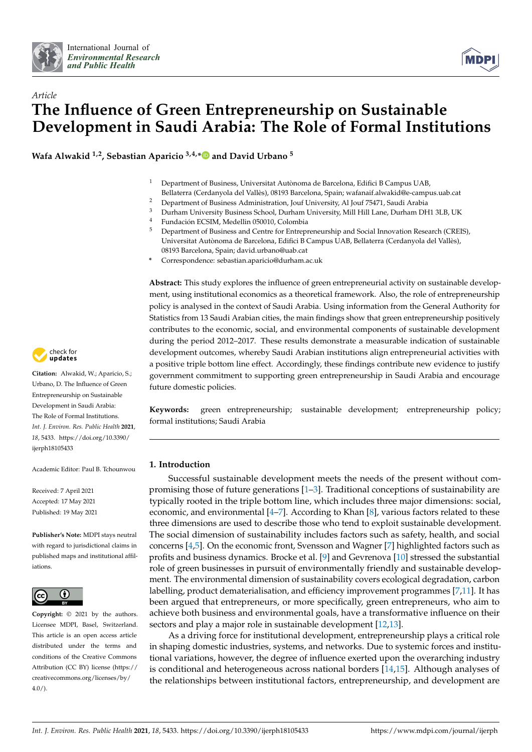



# *Article* **The Influence of Green Entrepreneurship on Sustainable Development in Saudi Arabia: The Role of Formal Institutions**

**Wafa Alwakid 1,2, Sebastian Aparicio 3,4,[\\*](https://orcid.org/0000-0003-1121-5667) and David Urbano <sup>5</sup>**

- <sup>1</sup> Department of Business, Universitat Autònoma de Barcelona, Edifici B Campus UAB, Bellaterra (Cerdanyola del Vallès), 08193 Barcelona, Spain; wafanaif.alwakid@e-campus.uab.cat
- <sup>2</sup> Department of Business Administration, Jouf University, Al Jouf 75471, Saudi Arabia<br><sup>3</sup> Durbam University Business School, Durbam University, Mill Hill I and Durbam DH
- <sup>3</sup> Durham University Business School, Durham University, Mill Hill Lane, Durham DH1 3LB, UK<br><sup>4</sup> Eundación ECSIM Modellin 050010 Colombia
- 4 Fundación ECSIM, Medellin 050010, Colombia<br>5 Department of Business and Contro for Entropy
- <sup>5</sup> Department of Business and Centre for Entrepreneurship and Social Innovation Research (CREIS), Universitat Autònoma de Barcelona, Edifici B Campus UAB, Bellaterra (Cerdanyola del Vallès), 08193 Barcelona, Spain; david.urbano@uab.cat
- **\*** Correspondence: sebastian.aparicio@durham.ac.uk

**Abstract:** This study explores the influence of green entrepreneurial activity on sustainable development, using institutional economics as a theoretical framework. Also, the role of entrepreneurship policy is analysed in the context of Saudi Arabia. Using information from the General Authority for Statistics from 13 Saudi Arabian cities, the main findings show that green entrepreneurship positively contributes to the economic, social, and environmental components of sustainable development during the period 2012–2017. These results demonstrate a measurable indication of sustainable development outcomes, whereby Saudi Arabian institutions align entrepreneurial activities with a positive triple bottom line effect. Accordingly, these findings contribute new evidence to justify government commitment to supporting green entrepreneurship in Saudi Arabia and encourage future domestic policies.

**Keywords:** green entrepreneurship; sustainable development; entrepreneurship policy; formal institutions; Saudi Arabia

#### **1. Introduction**

Successful sustainable development meets the needs of the present without compromising those of future generations [\[1–](#page-19-0)[3\]](#page-19-1). Traditional conceptions of sustainability are typically rooted in the triple bottom line, which includes three major dimensions: social, economic, and environmental [\[4–](#page-20-0)[7\]](#page-20-1). According to Khan [\[8\]](#page-20-2), various factors related to these three dimensions are used to describe those who tend to exploit sustainable development. The social dimension of sustainability includes factors such as safety, health, and social concerns [\[4](#page-20-0)[,5\]](#page-20-3). On the economic front, Svensson and Wagner [\[7\]](#page-20-1) highlighted factors such as profits and business dynamics. Brocke et al. [\[9\]](#page-20-4) and Gevrenova [\[10\]](#page-20-5) stressed the substantial role of green businesses in pursuit of environmentally friendly and sustainable development. The environmental dimension of sustainability covers ecological degradation, carbon labelling, product dematerialisation, and efficiency improvement programmes [\[7,](#page-20-1)[11\]](#page-20-6). It has been argued that entrepreneurs, or more specifically, green entrepreneurs, who aim to achieve both business and environmental goals, have a transformative influence on their sectors and play a major role in sustainable development [\[12](#page-20-7)[,13\]](#page-20-8).

As a driving force for institutional development, entrepreneurship plays a critical role in shaping domestic industries, systems, and networks. Due to systemic forces and institutional variations, however, the degree of influence exerted upon the overarching industry is conditional and heterogeneous across national borders [\[14](#page-20-9)[,15\]](#page-20-10). Although analyses of the relationships between institutional factors, entrepreneurship, and development are



**Citation:** Alwakid, W.; Aparicio, S.; Urbano, D. The Influence of Green Entrepreneurship on Sustainable Development in Saudi Arabia: The Role of Formal Institutions. *Int. J. Environ. Res. Public Health* **2021**, *18*, 5433. [https://doi.org/10.3390/](https://doi.org/10.3390/ijerph18105433) [ijerph18105433](https://doi.org/10.3390/ijerph18105433)

Academic Editor: Paul B. Tchounwou

Received: 7 April 2021 Accepted: 17 May 2021 Published: 19 May 2021

**Publisher's Note:** MDPI stays neutral with regard to jurisdictional claims in published maps and institutional affiliations.



**Copyright:** © 2021 by the authors. Licensee MDPI, Basel, Switzerland. This article is an open access article distributed under the terms and conditions of the Creative Commons Attribution (CC BY) license (https:/[/](https://creativecommons.org/licenses/by/4.0/) [creativecommons.org/licenses/by/](https://creativecommons.org/licenses/by/4.0/)  $4.0/$ ).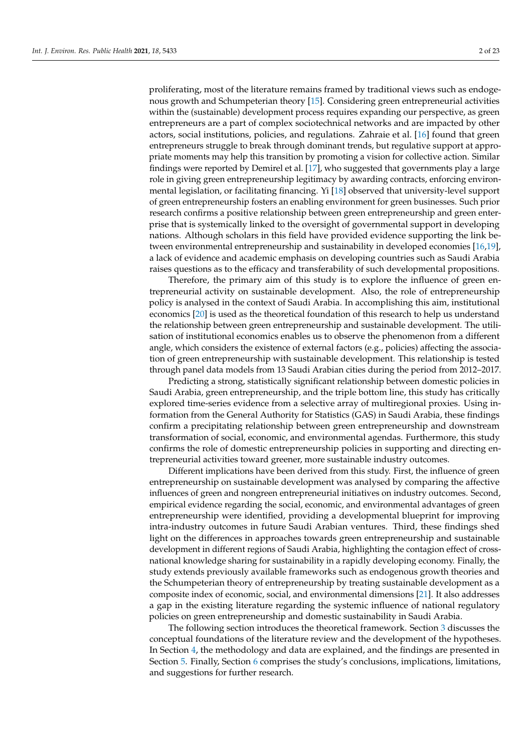proliferating, most of the literature remains framed by traditional views such as endogenous growth and Schumpeterian theory [\[15\]](#page-20-10). Considering green entrepreneurial activities within the (sustainable) development process requires expanding our perspective, as green entrepreneurs are a part of complex sociotechnical networks and are impacted by other actors, social institutions, policies, and regulations. Zahraie et al. [\[16\]](#page-20-11) found that green entrepreneurs struggle to break through dominant trends, but regulative support at appropriate moments may help this transition by promoting a vision for collective action. Similar findings were reported by Demirel et al. [\[17\]](#page-20-12), who suggested that governments play a large role in giving green entrepreneurship legitimacy by awarding contracts, enforcing environmental legislation, or facilitating financing. Yi [\[18\]](#page-20-13) observed that university-level support of green entrepreneurship fosters an enabling environment for green businesses. Such prior research confirms a positive relationship between green entrepreneurship and green enterprise that is systemically linked to the oversight of governmental support in developing nations. Although scholars in this field have provided evidence supporting the link between environmental entrepreneurship and sustainability in developed economies [\[16](#page-20-11)[,19\]](#page-20-14), a lack of evidence and academic emphasis on developing countries such as Saudi Arabia raises questions as to the efficacy and transferability of such developmental propositions.

Therefore, the primary aim of this study is to explore the influence of green entrepreneurial activity on sustainable development. Also, the role of entrepreneurship policy is analysed in the context of Saudi Arabia. In accomplishing this aim, institutional economics [\[20\]](#page-20-15) is used as the theoretical foundation of this research to help us understand the relationship between green entrepreneurship and sustainable development. The utilisation of institutional economics enables us to observe the phenomenon from a different angle, which considers the existence of external factors (e.g., policies) affecting the association of green entrepreneurship with sustainable development. This relationship is tested through panel data models from 13 Saudi Arabian cities during the period from 2012–2017.

Predicting a strong, statistically significant relationship between domestic policies in Saudi Arabia, green entrepreneurship, and the triple bottom line, this study has critically explored time-series evidence from a selective array of multiregional proxies. Using information from the General Authority for Statistics (GAS) in Saudi Arabia, these findings confirm a precipitating relationship between green entrepreneurship and downstream transformation of social, economic, and environmental agendas. Furthermore, this study confirms the role of domestic entrepreneurship policies in supporting and directing entrepreneurial activities toward greener, more sustainable industry outcomes.

Different implications have been derived from this study. First, the influence of green entrepreneurship on sustainable development was analysed by comparing the affective influences of green and nongreen entrepreneurial initiatives on industry outcomes. Second, empirical evidence regarding the social, economic, and environmental advantages of green entrepreneurship were identified, providing a developmental blueprint for improving intra-industry outcomes in future Saudi Arabian ventures. Third, these findings shed light on the differences in approaches towards green entrepreneurship and sustainable development in different regions of Saudi Arabia, highlighting the contagion effect of crossnational knowledge sharing for sustainability in a rapidly developing economy. Finally, the study extends previously available frameworks such as endogenous growth theories and the Schumpeterian theory of entrepreneurship by treating sustainable development as a composite index of economic, social, and environmental dimensions [\[21\]](#page-20-16). It also addresses a gap in the existing literature regarding the systemic influence of national regulatory policies on green entrepreneurship and domestic sustainability in Saudi Arabia.

The following section introduces the theoretical framework. Section [3](#page-3-0) discusses the conceptual foundations of the literature review and the development of the hypotheses. In Section [4,](#page-6-0) the methodology and data are explained, and the findings are presented in Section [5.](#page-9-0) Finally, Section [6](#page-13-0) comprises the study's conclusions, implications, limitations, and suggestions for further research.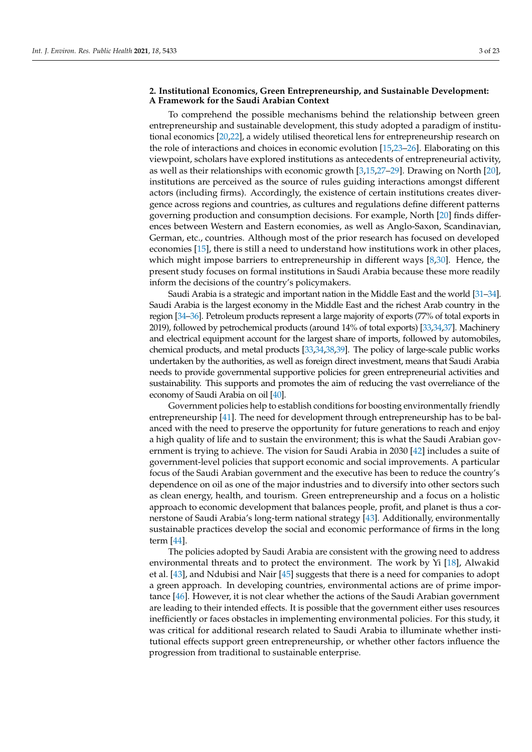#### **2. Institutional Economics, Green Entrepreneurship, and Sustainable Development: A Framework for the Saudi Arabian Context**

To comprehend the possible mechanisms behind the relationship between green entrepreneurship and sustainable development, this study adopted a paradigm of institutional economics [\[20](#page-20-15)[,22\]](#page-20-17), a widely utilised theoretical lens for entrepreneurship research on the role of interactions and choices in economic evolution [\[15](#page-20-10)[,23–](#page-20-18)[26\]](#page-20-19). Elaborating on this viewpoint, scholars have explored institutions as antecedents of entrepreneurial activity, as well as their relationships with economic growth [\[3,](#page-19-1)[15](#page-20-10)[,27](#page-20-20)[–29\]](#page-20-21). Drawing on North [\[20\]](#page-20-15), institutions are perceived as the source of rules guiding interactions amongst different actors (including firms). Accordingly, the existence of certain institutions creates divergence across regions and countries, as cultures and regulations define different patterns governing production and consumption decisions. For example, North [\[20\]](#page-20-15) finds differences between Western and Eastern economies, as well as Anglo-Saxon, Scandinavian, German, etc., countries. Although most of the prior research has focused on developed economies [\[15\]](#page-20-10), there is still a need to understand how institutions work in other places, which might impose barriers to entrepreneurship in different ways [\[8,](#page-20-2)[30\]](#page-20-22). Hence, the present study focuses on formal institutions in Saudi Arabia because these more readily inform the decisions of the country's policymakers.

Saudi Arabia is a strategic and important nation in the Middle East and the world [\[31](#page-20-23)[–34\]](#page-20-24). Saudi Arabia is the largest economy in the Middle East and the richest Arab country in the region [\[34](#page-20-24)[–36\]](#page-20-25). Petroleum products represent a large majority of exports (77% of total exports in 2019), followed by petrochemical products (around 14% of total exports) [\[33,](#page-20-26)[34](#page-20-24)[,37\]](#page-21-0). Machinery and electrical equipment account for the largest share of imports, followed by automobiles, chemical products, and metal products [\[33,](#page-20-26)[34](#page-20-24)[,38](#page-21-1)[,39\]](#page-21-2). The policy of large-scale public works undertaken by the authorities, as well as foreign direct investment, means that Saudi Arabia needs to provide governmental supportive policies for green entrepreneurial activities and sustainability. This supports and promotes the aim of reducing the vast overreliance of the economy of Saudi Arabia on oil [\[40\]](#page-21-3).

Government policies help to establish conditions for boosting environmentally friendly entrepreneurship [\[41\]](#page-21-4). The need for development through entrepreneurship has to be balanced with the need to preserve the opportunity for future generations to reach and enjoy a high quality of life and to sustain the environment; this is what the Saudi Arabian government is trying to achieve. The vision for Saudi Arabia in 2030 [\[42\]](#page-21-5) includes a suite of government-level policies that support economic and social improvements. A particular focus of the Saudi Arabian government and the executive has been to reduce the country's dependence on oil as one of the major industries and to diversify into other sectors such as clean energy, health, and tourism. Green entrepreneurship and a focus on a holistic approach to economic development that balances people, profit, and planet is thus a cornerstone of Saudi Arabia's long-term national strategy [\[43\]](#page-21-6). Additionally, environmentally sustainable practices develop the social and economic performance of firms in the long term [\[44\]](#page-21-7).

The policies adopted by Saudi Arabia are consistent with the growing need to address environmental threats and to protect the environment. The work by Yi [\[18\]](#page-20-13), Alwakid et al. [\[43\]](#page-21-6), and Ndubisi and Nair [\[45\]](#page-21-8) suggests that there is a need for companies to adopt a green approach. In developing countries, environmental actions are of prime importance [\[46\]](#page-21-9). However, it is not clear whether the actions of the Saudi Arabian government are leading to their intended effects. It is possible that the government either uses resources inefficiently or faces obstacles in implementing environmental policies. For this study, it was critical for additional research related to Saudi Arabia to illuminate whether institutional effects support green entrepreneurship, or whether other factors influence the progression from traditional to sustainable enterprise.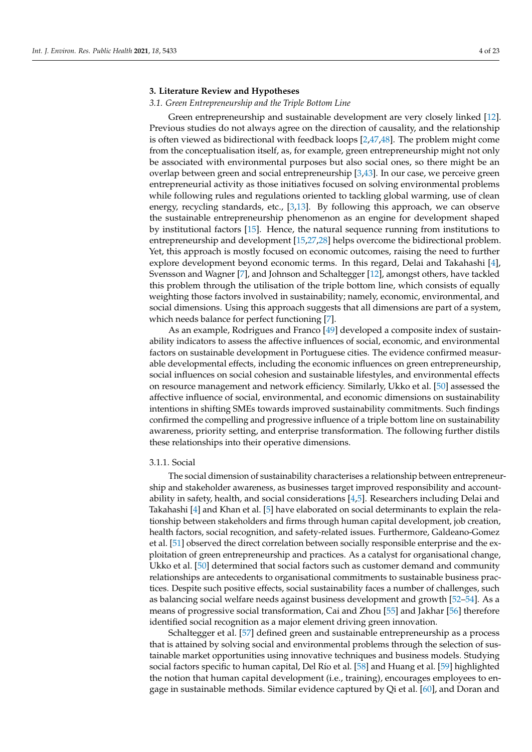#### <span id="page-3-0"></span>**3. Literature Review and Hypotheses**

#### *3.1. Green Entrepreneurship and the Triple Bottom Line*

Green entrepreneurship and sustainable development are very closely linked [\[12\]](#page-20-7). Previous studies do not always agree on the direction of causality, and the relationship is often viewed as bidirectional with feedback loops [\[2](#page-19-2)[,47](#page-21-10)[,48\]](#page-21-11). The problem might come from the conceptualisation itself, as, for example, green entrepreneurship might not only be associated with environmental purposes but also social ones, so there might be an overlap between green and social entrepreneurship [\[3](#page-19-1)[,43\]](#page-21-6). In our case, we perceive green entrepreneurial activity as those initiatives focused on solving environmental problems while following rules and regulations oriented to tackling global warming, use of clean energy, recycling standards, etc., [\[3,](#page-19-1)[13\]](#page-20-8). By following this approach, we can observe the sustainable entrepreneurship phenomenon as an engine for development shaped by institutional factors [\[15\]](#page-20-10). Hence, the natural sequence running from institutions to entrepreneurship and development [\[15,](#page-20-10)[27,](#page-20-20)[28\]](#page-20-27) helps overcome the bidirectional problem. Yet, this approach is mostly focused on economic outcomes, raising the need to further explore development beyond economic terms. In this regard, Delai and Takahashi [\[4\]](#page-20-0), Svensson and Wagner [\[7\]](#page-20-1), and Johnson and Schaltegger [\[12\]](#page-20-7), amongst others, have tackled this problem through the utilisation of the triple bottom line, which consists of equally weighting those factors involved in sustainability; namely, economic, environmental, and social dimensions. Using this approach suggests that all dimensions are part of a system, which needs balance for perfect functioning [\[7\]](#page-20-1).

As an example, Rodrigues and Franco [\[49\]](#page-21-12) developed a composite index of sustainability indicators to assess the affective influences of social, economic, and environmental factors on sustainable development in Portuguese cities. The evidence confirmed measurable developmental effects, including the economic influences on green entrepreneurship, social influences on social cohesion and sustainable lifestyles, and environmental effects on resource management and network efficiency. Similarly, Ukko et al. [\[50\]](#page-21-13) assessed the affective influence of social, environmental, and economic dimensions on sustainability intentions in shifting SMEs towards improved sustainability commitments. Such findings confirmed the compelling and progressive influence of a triple bottom line on sustainability awareness, priority setting, and enterprise transformation. The following further distils these relationships into their operative dimensions.

#### 3.1.1. Social

The social dimension of sustainability characterises a relationship between entrepreneurship and stakeholder awareness, as businesses target improved responsibility and accountability in safety, health, and social considerations [\[4](#page-20-0)[,5\]](#page-20-3). Researchers including Delai and Takahashi [\[4\]](#page-20-0) and Khan et al. [\[5\]](#page-20-3) have elaborated on social determinants to explain the relationship between stakeholders and firms through human capital development, job creation, health factors, social recognition, and safety-related issues. Furthermore, Galdeano-Gomez et al. [\[51\]](#page-21-14) observed the direct correlation between socially responsible enterprise and the exploitation of green entrepreneurship and practices. As a catalyst for organisational change, Ukko et al. [\[50\]](#page-21-13) determined that social factors such as customer demand and community relationships are antecedents to organisational commitments to sustainable business practices. Despite such positive effects, social sustainability faces a number of challenges, such as balancing social welfare needs against business development and growth [\[52](#page-21-15)[–54\]](#page-21-16). As a means of progressive social transformation, Cai and Zhou [\[55\]](#page-21-17) and Jakhar [\[56\]](#page-21-18) therefore identified social recognition as a major element driving green innovation.

Schaltegger et al. [\[57\]](#page-21-19) defined green and sustainable entrepreneurship as a process that is attained by solving social and environmental problems through the selection of sustainable market opportunities using innovative techniques and business models. Studying social factors specific to human capital, Del Río et al. [\[58\]](#page-21-20) and Huang et al. [\[59\]](#page-21-21) highlighted the notion that human capital development (i.e., training), encourages employees to engage in sustainable methods. Similar evidence captured by Qi et al. [\[60\]](#page-21-22), and Doran and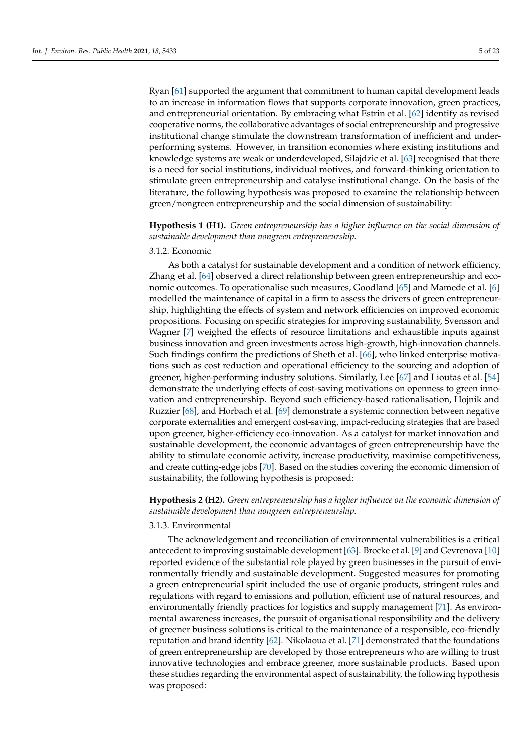Ryan [\[61\]](#page-21-23) supported the argument that commitment to human capital development leads to an increase in information flows that supports corporate innovation, green practices, and entrepreneurial orientation. By embracing what Estrin et al. [\[62\]](#page-21-24) identify as revised cooperative norms, the collaborative advantages of social entrepreneurship and progressive institutional change stimulate the downstream transformation of inefficient and underperforming systems. However, in transition economies where existing institutions and knowledge systems are weak or underdeveloped, Silajdzic et al. [\[63\]](#page-21-25) recognised that there is a need for social institutions, individual motives, and forward-thinking orientation to stimulate green entrepreneurship and catalyse institutional change. On the basis of the literature, the following hypothesis was proposed to examine the relationship between green/nongreen entrepreneurship and the social dimension of sustainability:

## **Hypothesis 1 (H1).** *Green entrepreneurship has a higher influence on the social dimension of sustainable development than nongreen entrepreneurship.*

#### 3.1.2. Economic

As both a catalyst for sustainable development and a condition of network efficiency, Zhang et al. [\[64\]](#page-21-26) observed a direct relationship between green entrepreneurship and economic outcomes. To operationalise such measures, Goodland [\[65\]](#page-21-27) and Mamede et al. [\[6\]](#page-20-28) modelled the maintenance of capital in a firm to assess the drivers of green entrepreneurship, highlighting the effects of system and network efficiencies on improved economic propositions. Focusing on specific strategies for improving sustainability, Svensson and Wagner [\[7\]](#page-20-1) weighed the effects of resource limitations and exhaustible inputs against business innovation and green investments across high-growth, high-innovation channels. Such findings confirm the predictions of Sheth et al. [\[66\]](#page-21-28), who linked enterprise motivations such as cost reduction and operational efficiency to the sourcing and adoption of greener, higher-performing industry solutions. Similarly, Lee [\[67\]](#page-21-29) and Lioutas et al. [\[54\]](#page-21-16) demonstrate the underlying effects of cost-saving motivations on openness to green innovation and entrepreneurship. Beyond such efficiency-based rationalisation, Hojnik and Ruzzier [\[68\]](#page-21-30), and Horbach et al. [\[69\]](#page-22-0) demonstrate a systemic connection between negative corporate externalities and emergent cost-saving, impact-reducing strategies that are based upon greener, higher-efficiency eco-innovation. As a catalyst for market innovation and sustainable development, the economic advantages of green entrepreneurship have the ability to stimulate economic activity, increase productivity, maximise competitiveness, and create cutting-edge jobs [\[70\]](#page-22-1). Based on the studies covering the economic dimension of sustainability, the following hypothesis is proposed:

**Hypothesis 2 (H2).** *Green entrepreneurship has a higher influence on the economic dimension of sustainable development than nongreen entrepreneurship.*

#### 3.1.3. Environmental

The acknowledgement and reconciliation of environmental vulnerabilities is a critical antecedent to improving sustainable development [\[63\]](#page-21-25). Brocke et al. [\[9\]](#page-20-4) and Gevrenova [\[10\]](#page-20-5) reported evidence of the substantial role played by green businesses in the pursuit of environmentally friendly and sustainable development. Suggested measures for promoting a green entrepreneurial spirit included the use of organic products, stringent rules and regulations with regard to emissions and pollution, efficient use of natural resources, and environmentally friendly practices for logistics and supply management [\[71\]](#page-22-2). As environmental awareness increases, the pursuit of organisational responsibility and the delivery of greener business solutions is critical to the maintenance of a responsible, eco-friendly reputation and brand identity [\[62\]](#page-21-24). Nikolaoua et al. [\[71\]](#page-22-2) demonstrated that the foundations of green entrepreneurship are developed by those entrepreneurs who are willing to trust innovative technologies and embrace greener, more sustainable products. Based upon these studies regarding the environmental aspect of sustainability, the following hypothesis was proposed: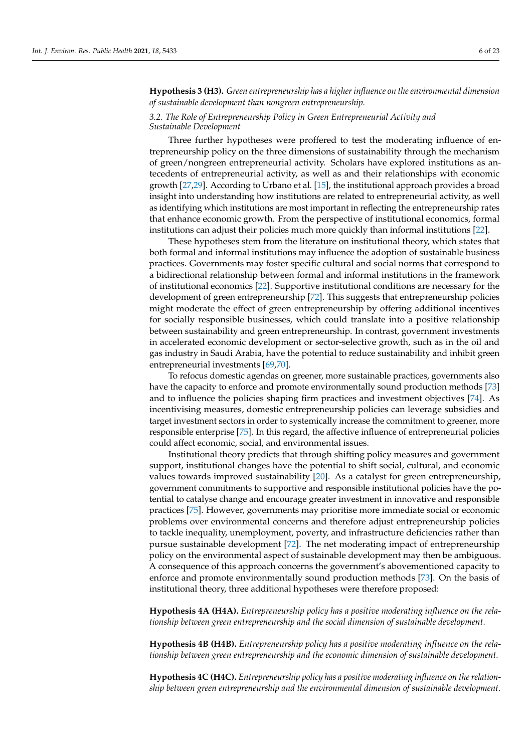### **Hypothesis 3 (H3).** *Green entrepreneurship has a higher influence on the environmental dimension of sustainable development than nongreen entrepreneurship.*

#### *3.2. The Role of Entrepreneurship Policy in Green Entrepreneurial Activity and Sustainable Development*

Three further hypotheses were proffered to test the moderating influence of entrepreneurship policy on the three dimensions of sustainability through the mechanism of green/nongreen entrepreneurial activity. Scholars have explored institutions as antecedents of entrepreneurial activity, as well as and their relationships with economic growth [\[27,](#page-20-20)[29\]](#page-20-21). According to Urbano et al. [\[15\]](#page-20-10), the institutional approach provides a broad insight into understanding how institutions are related to entrepreneurial activity, as well as identifying which institutions are most important in reflecting the entrepreneurship rates that enhance economic growth. From the perspective of institutional economics, formal institutions can adjust their policies much more quickly than informal institutions [\[22\]](#page-20-17).

These hypotheses stem from the literature on institutional theory, which states that both formal and informal institutions may influence the adoption of sustainable business practices. Governments may foster specific cultural and social norms that correspond to a bidirectional relationship between formal and informal institutions in the framework of institutional economics [\[22\]](#page-20-17). Supportive institutional conditions are necessary for the development of green entrepreneurship [\[72\]](#page-22-3). This suggests that entrepreneurship policies might moderate the effect of green entrepreneurship by offering additional incentives for socially responsible businesses, which could translate into a positive relationship between sustainability and green entrepreneurship. In contrast, government investments in accelerated economic development or sector-selective growth, such as in the oil and gas industry in Saudi Arabia, have the potential to reduce sustainability and inhibit green entrepreneurial investments [\[69,](#page-22-0)[70\]](#page-22-1).

To refocus domestic agendas on greener, more sustainable practices, governments also have the capacity to enforce and promote environmentally sound production methods [\[73\]](#page-22-4) and to influence the policies shaping firm practices and investment objectives [\[74\]](#page-22-5). As incentivising measures, domestic entrepreneurship policies can leverage subsidies and target investment sectors in order to systemically increase the commitment to greener, more responsible enterprise [\[75\]](#page-22-6). In this regard, the affective influence of entrepreneurial policies could affect economic, social, and environmental issues.

Institutional theory predicts that through shifting policy measures and government support, institutional changes have the potential to shift social, cultural, and economic values towards improved sustainability [\[20\]](#page-20-15). As a catalyst for green entrepreneurship, government commitments to supportive and responsible institutional policies have the potential to catalyse change and encourage greater investment in innovative and responsible practices [\[75\]](#page-22-6). However, governments may prioritise more immediate social or economic problems over environmental concerns and therefore adjust entrepreneurship policies to tackle inequality, unemployment, poverty, and infrastructure deficiencies rather than pursue sustainable development [\[72\]](#page-22-3). The net moderating impact of entrepreneurship policy on the environmental aspect of sustainable development may then be ambiguous. A consequence of this approach concerns the government's abovementioned capacity to enforce and promote environmentally sound production methods [\[73\]](#page-22-4). On the basis of institutional theory, three additional hypotheses were therefore proposed:

**Hypothesis 4A (H4A).** *Entrepreneurship policy has a positive moderating influence on the relationship between green entrepreneurship and the social dimension of sustainable development.*

**Hypothesis 4B (H4B).** *Entrepreneurship policy has a positive moderating influence on the relationship between green entrepreneurship and the economic dimension of sustainable development.*

**Hypothesis 4C (H4C).** *Entrepreneurship policy has a positive moderating influence on the relationship between green entrepreneurship and the environmental dimension of sustainable development.*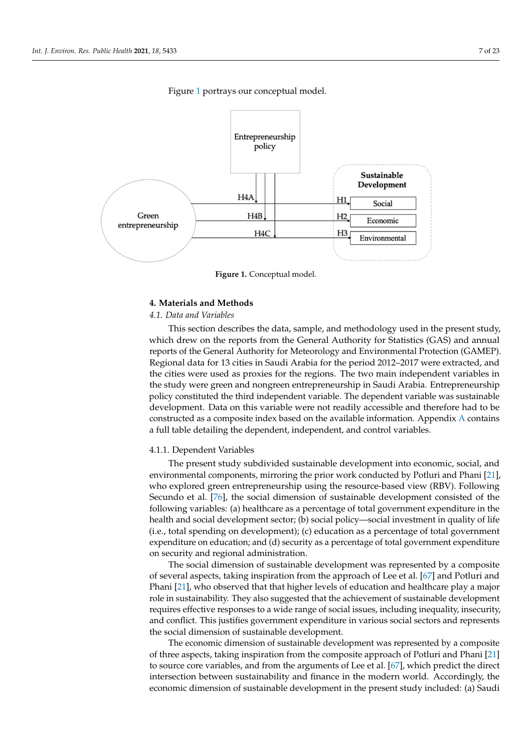*opment.*

<span id="page-6-1"></span>

Figure [1](#page-6-1) portrays our conceptual model. Figure 1 portrays our conceptual model.

**Figure 1.** Conceptual model. **Figure 1.** Conceptual model.

### <span id="page-6-0"></span>**4. Materials and Methods 4. Materials and Methods**

## *4.1. Data and Variables 4.1. Data and Variables*

This section describes the data, sample, and methodology used in the present study, which drew on the reports from the General Authority for Statistics (GAS) and annual which drew on the reports from the General Authority for Statistics (GAS) and annual reports of the General Authority for Meteorology and Environmental Protection (GAMEP). Regional data for 13 cities in Saudi Arabia for the period 2012–2017 were extracted, and the cities were used as proxies for the regions. The two main independent variables in  $\mathbf{d}$ the study were green and nongreen entrepreneurship in Saudi Arabia. Entrepreneurship preneurship policy constituted the third independent variable. The dependent variable development. Data on this variable were not readily accessible and therefore had to be<br>accepted to a compact to be looked and the mail their formation. Against the Acception fore to be constructed as a composite index based on the available information. [A](#page-15-0)ppendix A contains a contains a full table detailing the dependent, independent, and control variables. policy constituted the third independent variable. The dependent variable was sustainable

#### 4.1.1. Dependent Variables

The present study subdivided sustainable development into economic, social, and environmental components, mirroring the prior work conducted by Potluri and Phani [\[21\]](#page-20-16), who explored green entrepreneurship using the resource-based view (RBV). Following Secundo et al. [\[76\]](#page-22-7), the social dimension of sustainable development consisted of the following variables: (a) healthcare as a percentage of total government expenditure in the health and social development sector; (b) social policy—social investment in quality of life (i.e., total spending on development); (c) education as a percentage of total government expenditure on education; and (d) security as a percentage of total government expenditure on security and regional administration.

The social dimension of sustainable development was represented by a composite of several aspects, taking inspiration from the approach of Lee et al. [\[67\]](#page-21-29) and Potluri and Phani [\[21\]](#page-20-16), who observed that that higher levels of education and healthcare play a major role in sustainability. They also suggested that the achievement of sustainable development requires effective responses to a wide range of social issues, including inequality, insecurity, and conflict. This justifies government expenditure in various social sectors and represents the social dimension of sustainable development.

The economic dimension of sustainable development was represented by a composite of three aspects, taking inspiration from the composite approach of Potluri and Phani [\[21\]](#page-20-16) to source core variables, and from the arguments of Lee et al. [\[67\]](#page-21-29), which predict the direct intersection between sustainability and finance in the modern world. Accordingly, the economic dimension of sustainable development in the present study included: (a) Saudi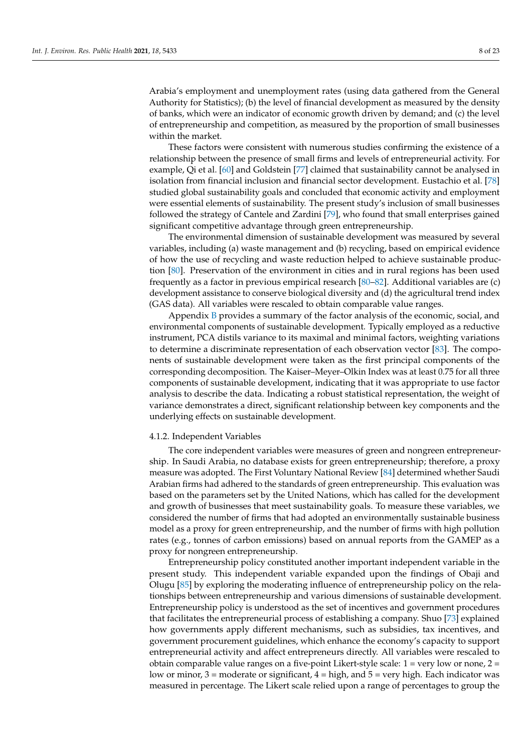Arabia's employment and unemployment rates (using data gathered from the General Authority for Statistics); (b) the level of financial development as measured by the density of banks, which were an indicator of economic growth driven by demand; and (c) the level of entrepreneurship and competition, as measured by the proportion of small businesses within the market.

These factors were consistent with numerous studies confirming the existence of a relationship between the presence of small firms and levels of entrepreneurial activity. For example, Qi et al. [\[60\]](#page-21-22) and Goldstein [\[77\]](#page-22-8) claimed that sustainability cannot be analysed in isolation from financial inclusion and financial sector development. Eustachio et al. [\[78\]](#page-22-9) studied global sustainability goals and concluded that economic activity and employment were essential elements of sustainability. The present study's inclusion of small businesses followed the strategy of Cantele and Zardini [\[79\]](#page-22-10), who found that small enterprises gained significant competitive advantage through green entrepreneurship.

The environmental dimension of sustainable development was measured by several variables, including (a) waste management and (b) recycling, based on empirical evidence of how the use of recycling and waste reduction helped to achieve sustainable production [\[80\]](#page-22-11). Preservation of the environment in cities and in rural regions has been used frequently as a factor in previous empirical research [\[80–](#page-22-11)[82\]](#page-22-12). Additional variables are (c) development assistance to conserve biological diversity and (d) the agricultural trend index (GAS data). All variables were rescaled to obtain comparable value ranges.

Appendix [B](#page-16-0) provides a summary of the factor analysis of the economic, social, and environmental components of sustainable development. Typically employed as a reductive instrument, PCA distils variance to its maximal and minimal factors, weighting variations to determine a discriminate representation of each observation vector [\[83\]](#page-22-13). The components of sustainable development were taken as the first principal components of the corresponding decomposition. The Kaiser–Meyer–Olkin Index was at least 0.75 for all three components of sustainable development, indicating that it was appropriate to use factor analysis to describe the data. Indicating a robust statistical representation, the weight of variance demonstrates a direct, significant relationship between key components and the underlying effects on sustainable development.

#### 4.1.2. Independent Variables

The core independent variables were measures of green and nongreen entrepreneurship. In Saudi Arabia, no database exists for green entrepreneurship; therefore, a proxy measure was adopted. The First Voluntary National Review [\[84\]](#page-22-14) determined whether Saudi Arabian firms had adhered to the standards of green entrepreneurship. This evaluation was based on the parameters set by the United Nations, which has called for the development and growth of businesses that meet sustainability goals. To measure these variables, we considered the number of firms that had adopted an environmentally sustainable business model as a proxy for green entrepreneurship, and the number of firms with high pollution rates (e.g., tonnes of carbon emissions) based on annual reports from the GAMEP as a proxy for nongreen entrepreneurship.

Entrepreneurship policy constituted another important independent variable in the present study. This independent variable expanded upon the findings of Obaji and Olugu [\[85\]](#page-22-15) by exploring the moderating influence of entrepreneurship policy on the relationships between entrepreneurship and various dimensions of sustainable development. Entrepreneurship policy is understood as the set of incentives and government procedures that facilitates the entrepreneurial process of establishing a company. Shuo [\[73\]](#page-22-4) explained how governments apply different mechanisms, such as subsidies, tax incentives, and government procurement guidelines, which enhance the economy's capacity to support entrepreneurial activity and affect entrepreneurs directly. All variables were rescaled to obtain comparable value ranges on a five-point Likert-style scale:  $1 = \text{very low or none}$ ,  $2 = \text{very low or none}$ low or minor,  $3 =$  moderate or significant,  $4 =$  high, and  $5 =$  very high. Each indicator was measured in percentage. The Likert scale relied upon a range of percentages to group the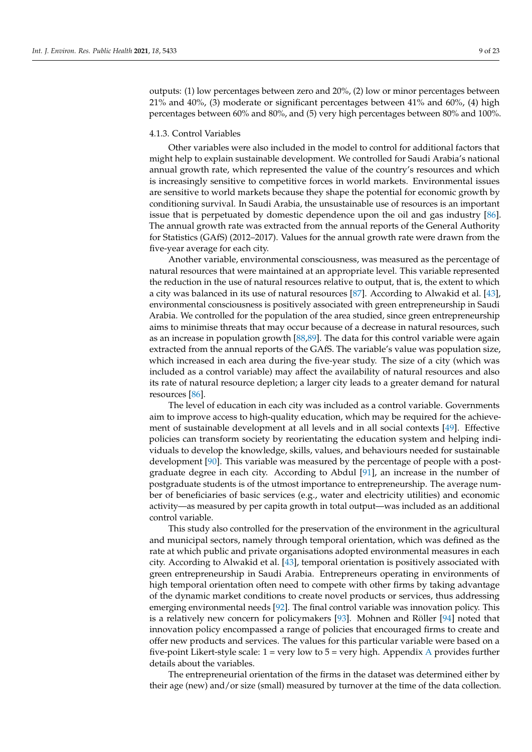outputs: (1) low percentages between zero and 20%, (2) low or minor percentages between 21% and 40%, (3) moderate or significant percentages between 41% and 60%, (4) high percentages between 60% and 80%, and (5) very high percentages between 80% and 100%.

#### 4.1.3. Control Variables

Other variables were also included in the model to control for additional factors that might help to explain sustainable development. We controlled for Saudi Arabia's national annual growth rate, which represented the value of the country's resources and which is increasingly sensitive to competitive forces in world markets. Environmental issues are sensitive to world markets because they shape the potential for economic growth by conditioning survival. In Saudi Arabia, the unsustainable use of resources is an important issue that is perpetuated by domestic dependence upon the oil and gas industry [\[86\]](#page-22-16). The annual growth rate was extracted from the annual reports of the General Authority for Statistics (GAfS) (2012–2017). Values for the annual growth rate were drawn from the five-year average for each city.

Another variable, environmental consciousness, was measured as the percentage of natural resources that were maintained at an appropriate level. This variable represented the reduction in the use of natural resources relative to output, that is, the extent to which a city was balanced in its use of natural resources [\[87\]](#page-22-17). According to Alwakid et al. [\[43\]](#page-21-6), environmental consciousness is positively associated with green entrepreneurship in Saudi Arabia. We controlled for the population of the area studied, since green entrepreneurship aims to minimise threats that may occur because of a decrease in natural resources, such as an increase in population growth [\[88](#page-22-18)[,89\]](#page-22-19). The data for this control variable were again extracted from the annual reports of the GAfS. The variable's value was population size, which increased in each area during the five-year study. The size of a city (which was included as a control variable) may affect the availability of natural resources and also its rate of natural resource depletion; a larger city leads to a greater demand for natural resources [\[86\]](#page-22-16).

The level of education in each city was included as a control variable. Governments aim to improve access to high-quality education, which may be required for the achievement of sustainable development at all levels and in all social contexts [\[49\]](#page-21-12). Effective policies can transform society by reorientating the education system and helping individuals to develop the knowledge, skills, values, and behaviours needed for sustainable development [\[90\]](#page-22-20). This variable was measured by the percentage of people with a postgraduate degree in each city. According to Abdul [\[91\]](#page-22-21), an increase in the number of postgraduate students is of the utmost importance to entrepreneurship. The average number of beneficiaries of basic services (e.g., water and electricity utilities) and economic activity—as measured by per capita growth in total output—was included as an additional control variable.

This study also controlled for the preservation of the environment in the agricultural and municipal sectors, namely through temporal orientation, which was defined as the rate at which public and private organisations adopted environmental measures in each city. According to Alwakid et al. [\[43\]](#page-21-6), temporal orientation is positively associated with green entrepreneurship in Saudi Arabia. Entrepreneurs operating in environments of high temporal orientation often need to compete with other firms by taking advantage of the dynamic market conditions to create novel products or services, thus addressing emerging environmental needs [\[92\]](#page-22-22). The final control variable was innovation policy. This is a relatively new concern for policymakers [\[93\]](#page-22-23). Mohnen and Röller [\[94\]](#page-22-24) noted that innovation policy encompassed a range of policies that encouraged firms to create and offer new products and services. The values for this particular variable were based on a five-point Likert-style scale:  $1 = \text{very low to } 5 = \text{very high. Appendix A provides further}$  $1 = \text{very low to } 5 = \text{very high. Appendix A provides further}$  $1 = \text{very low to } 5 = \text{very high. Appendix A provides further}$ details about the variables.

The entrepreneurial orientation of the firms in the dataset was determined either by their age (new) and/or size (small) measured by turnover at the time of the data collection.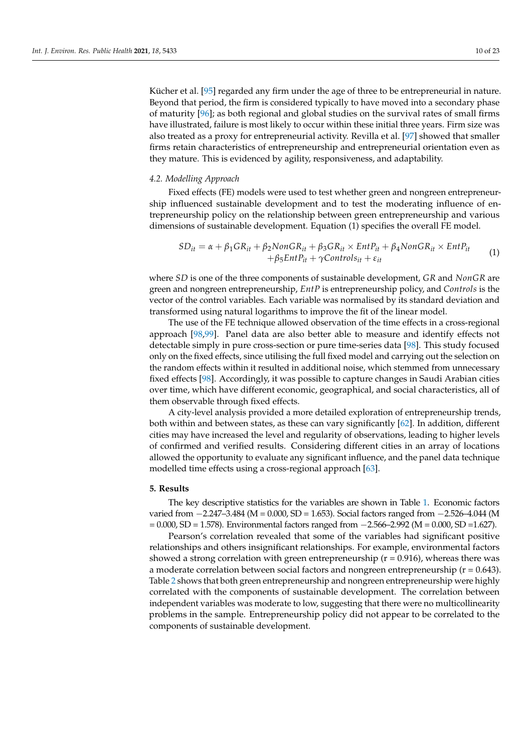Kücher et al. [\[95\]](#page-22-25) regarded any firm under the age of three to be entrepreneurial in nature. Beyond that period, the firm is considered typically to have moved into a secondary phase of maturity [\[96\]](#page-22-26); as both regional and global studies on the survival rates of small firms have illustrated, failure is most likely to occur within these initial three years. Firm size was also treated as a proxy for entrepreneurial activity. Revilla et al. [\[97\]](#page-22-27) showed that smaller firms retain characteristics of entrepreneurship and entrepreneurial orientation even as they mature. This is evidenced by agility, responsiveness, and adaptability.

#### *4.2. Modelling Approach*

Fixed effects (FE) models were used to test whether green and nongreen entrepreneurship influenced sustainable development and to test the moderating influence of entrepreneurship policy on the relationship between green entrepreneurship and various dimensions of sustainable development. Equation (1) specifies the overall FE model.

$$
SD_{it} = \alpha + \beta_1 GR_{it} + \beta_2 NonGR_{it} + \beta_3 GR_{it} \times EntP_{it} + \beta_4 NonGR_{it} \times EntP_{it}
$$
  
+ 
$$
\beta_5 EntP_{it} + \gamma Controls_{it} + \varepsilon_{it}
$$
 (1)

where *SD* is one of the three components of sustainable development, *GR* and *NonGR* are green and nongreen entrepreneurship, *EntP* is entrepreneurship policy, and *Controls* is the vector of the control variables. Each variable was normalised by its standard deviation and transformed using natural logarithms to improve the fit of the linear model.

The use of the FE technique allowed observation of the time effects in a cross-regional approach [\[98,](#page-22-28)[99\]](#page-22-29). Panel data are also better able to measure and identify effects not detectable simply in pure cross-section or pure time-series data [\[98\]](#page-22-28). This study focused only on the fixed effects, since utilising the full fixed model and carrying out the selection on the random effects within it resulted in additional noise, which stemmed from unnecessary fixed effects [\[98\]](#page-22-28). Accordingly, it was possible to capture changes in Saudi Arabian cities over time, which have different economic, geographical, and social characteristics, all of them observable through fixed effects.

A city-level analysis provided a more detailed exploration of entrepreneurship trends, both within and between states, as these can vary significantly [\[62\]](#page-21-24). In addition, different cities may have increased the level and regularity of observations, leading to higher levels of confirmed and verified results. Considering different cities in an array of locations allowed the opportunity to evaluate any significant influence, and the panel data technique modelled time effects using a cross-regional approach [\[63\]](#page-21-25).

#### <span id="page-9-0"></span>**5. Results**

The key descriptive statistics for the variables are shown in Table [1.](#page-10-0) Economic factors varied from −2.247–3.484 (M = 0.000, SD = 1.653). Social factors ranged from −2.526–4.044 (M = 0.000, SD = 1.578). Environmental factors ranged from −2.566–2.992 (M = 0.000, SD =1.627).

Pearson's correlation revealed that some of the variables had significant positive relationships and others insignificant relationships. For example, environmental factors showed a strong correlation with green entrepreneurship ( $r = 0.916$ ), whereas there was a moderate correlation between social factors and nongreen entrepreneurship  $(r = 0.643)$ . Table [2](#page-10-1) shows that both green entrepreneurship and nongreen entrepreneurship were highly correlated with the components of sustainable development. The correlation between independent variables was moderate to low, suggesting that there were no multicollinearity problems in the sample. Entrepreneurship policy did not appear to be correlated to the components of sustainable development.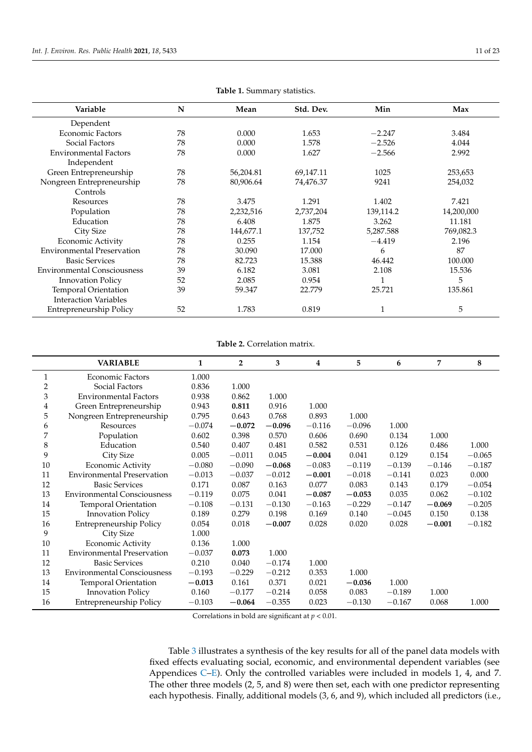<span id="page-10-0"></span>

| Variable                           | N  | Mean      | Std. Dev. | Min       | Max        |
|------------------------------------|----|-----------|-----------|-----------|------------|
| Dependent                          |    |           |           |           |            |
| <b>Economic Factors</b>            | 78 | 0.000     | 1.653     | $-2.247$  | 3.484      |
| Social Factors                     | 78 | 0.000     | 1.578     | $-2.526$  | 4.044      |
| <b>Environmental Factors</b>       | 78 | 0.000     | 1.627     | $-2.566$  | 2.992      |
| Independent                        |    |           |           |           |            |
| Green Entrepreneurship             | 78 | 56,204.81 | 69,147.11 | 1025      | 253,653    |
| Nongreen Entrepreneurship          | 78 | 80,906.64 | 74,476.37 | 9241      | 254,032    |
| Controls                           |    |           |           |           |            |
| Resources                          | 78 | 3.475     | 1.291     | 1.402     | 7.421      |
| Population                         | 78 | 2,232,516 | 2,737,204 | 139,114.2 | 14,200,000 |
| Education                          | 78 | 6.408     | 1.875     | 3.262     | 11.181     |
| City Size                          | 78 | 144,677.1 | 137,752   | 5,287.588 | 769,082.3  |
| <b>Economic Activity</b>           | 78 | 0.255     | 1.154     | $-4.419$  | 2.196      |
| <b>Environmental Preservation</b>  | 78 | 30.090    | 17.000    | 6         | 87         |
| <b>Basic Services</b>              | 78 | 82.723    | 15.388    | 46.442    | 100.000    |
| <b>Environmental Consciousness</b> | 39 | 6.182     | 3.081     | 2.108     | 15.536     |
| <b>Innovation Policy</b>           | 52 | 2.085     | 0.954     | 1         | 5          |
| Temporal Orientation               | 39 | 59.347    | 22.779    | 25.721    | 135.861    |
| <b>Interaction Variables</b>       |    |           |           |           |            |
| Entrepreneurship Policy            | 52 | 1.783     | 0.819     |           | 5          |

**Table 1.** Summary statistics.

**Table 2.** Correlation matrix.

<span id="page-10-1"></span>

|    | <b>VARIABLE</b>                    | $\mathbf{1}$ | $\overline{2}$ | 3        | 4        | 5        | 6        | 7        | 8        |
|----|------------------------------------|--------------|----------------|----------|----------|----------|----------|----------|----------|
| 1  | Economic Factors                   | 1.000        |                |          |          |          |          |          |          |
| 2  | Social Factors                     | 0.836        | 1.000          |          |          |          |          |          |          |
| 3  | <b>Environmental Factors</b>       | 0.938        | 0.862          | 1.000    |          |          |          |          |          |
| 4  | Green Entrepreneurship             | 0.943        | 0.811          | 0.916    | 1.000    |          |          |          |          |
| 5  | Nongreen Entrepreneurship          | 0.795        | 0.643          | 0.768    | 0.893    | 1.000    |          |          |          |
| 6  | Resources                          | $-0.074$     | $-0.072$       | $-0.096$ | $-0.116$ | $-0.096$ | 1.000    |          |          |
| 7  | Population                         | 0.602        | 0.398          | 0.570    | 0.606    | 0.690    | 0.134    | 1.000    |          |
| 8  | Education                          | 0.540        | 0.407          | 0.481    | 0.582    | 0.531    | 0.126    | 0.486    | 1.000    |
| 9  | City Size                          | 0.005        | $-0.011$       | 0.045    | $-0.004$ | 0.041    | 0.129    | 0.154    | $-0.065$ |
| 10 | Economic Activity                  | $-0.080$     | $-0.090$       | $-0.068$ | $-0.083$ | $-0.119$ | $-0.139$ | $-0.146$ | $-0.187$ |
| 11 | <b>Environmental Preservation</b>  | $-0.013$     | $-0.037$       | $-0.012$ | $-0.001$ | $-0.018$ | $-0.141$ | 0.023    | 0.000    |
| 12 | <b>Basic Services</b>              | 0.171        | 0.087          | 0.163    | 0.077    | 0.083    | 0.143    | 0.179    | $-0.054$ |
| 13 | <b>Environmental Consciousness</b> | $-0.119$     | 0.075          | 0.041    | $-0.087$ | $-0.053$ | 0.035    | 0.062    | $-0.102$ |
| 14 | Temporal Orientation               | $-0.108$     | $-0.131$       | $-0.130$ | $-0.163$ | $-0.229$ | $-0.147$ | $-0.069$ | $-0.205$ |
| 15 | <b>Innovation Policy</b>           | 0.189        | 0.279          | 0.198    | 0.169    | 0.140    | $-0.045$ | 0.150    | 0.138    |
| 16 | <b>Entrepreneurship Policy</b>     | 0.054        | 0.018          | $-0.007$ | 0.028    | 0.020    | 0.028    | $-0.001$ | $-0.182$ |
| 9  | City Size                          | 1.000        |                |          |          |          |          |          |          |
| 10 | Economic Activity                  | 0.136        | 1.000          |          |          |          |          |          |          |
| 11 | <b>Environmental Preservation</b>  | $-0.037$     | 0.073          | 1.000    |          |          |          |          |          |
| 12 | <b>Basic Services</b>              | 0.210        | 0.040          | $-0.174$ | 1.000    |          |          |          |          |
| 13 | <b>Environmental Consciousness</b> | $-0.193$     | $-0.229$       | $-0.212$ | 0.353    | 1.000    |          |          |          |
| 14 | <b>Temporal Orientation</b>        | $-0.013$     | 0.161          | 0.371    | 0.021    | $-0.036$ | 1.000    |          |          |
| 15 | <b>Innovation Policy</b>           | 0.160        | $-0.177$       | $-0.214$ | 0.058    | 0.083    | $-0.189$ | 1.000    |          |
| 16 | <b>Entrepreneurship Policy</b>     | $-0.103$     | $-0.064$       | $-0.355$ | 0.023    | $-0.130$ | $-0.167$ | 0.068    | 1.000    |

Correlations in bold are significant at *p* < 0.01.

Table [3](#page-11-0) illustrates a synthesis of the key results for all of the panel data models with fixed effects evaluating social, economic, and environmental dependent variables (see Appendices [C–](#page-17-0)[E\)](#page-19-3). Only the controlled variables were included in models 1, 4, and 7. The other three models (2, 5, and 8) were then set, each with one predictor representing each hypothesis. Finally, additional models (3, 6, and 9), which included all predictors (i.e.,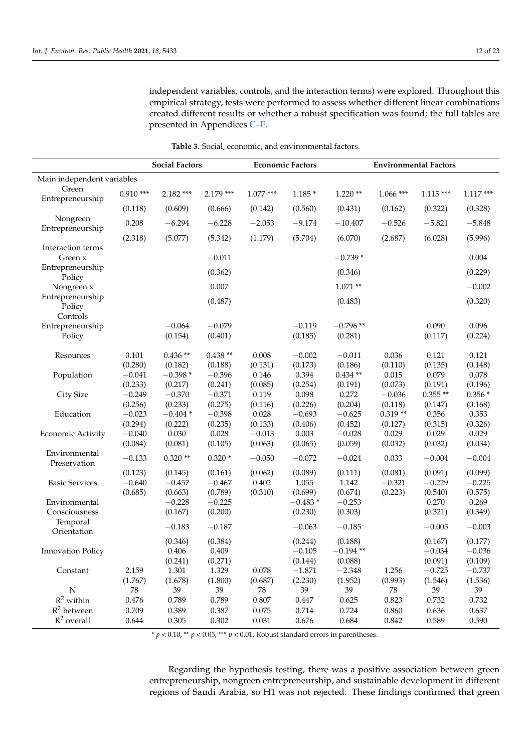independent variables, controls, and the interaction terms) were explored. Throughout this empirical strategy, tests were performed to assess whether different linear combinations created different results or whether a robust specification was found; the full tables are presented in Appendices [C](#page-17-0)[–E.](#page-19-3)

<span id="page-11-0"></span>

|                              |                     | <b>Social Factors</b><br><b>Economic Factors</b> |                      |                     |                      | <b>Environmental Factors</b> |                  |                     |                     |
|------------------------------|---------------------|--------------------------------------------------|----------------------|---------------------|----------------------|------------------------------|------------------|---------------------|---------------------|
| Main independent variables   |                     |                                                  |                      |                     |                      |                              |                  |                     |                     |
| Green<br>Entrepreneurship    | $0.910***$          | $2.182$ ***                                      | $2.179$ ***          | $1.077***$          | $1.185*$             | $1.220**$                    | $1.066$ ***      | $1.115***$          | $1.117***$          |
|                              | (0.118)             | (0.609)                                          | (0.666)              | (0.142)             | (0.560)              | (0.431)                      | (0.162)          | (0.322)             | (0.328)             |
| Nongreen<br>Entrepreneurship | 0.208               | $-6.294$                                         | $-6.228$             | $-2.053$            | $-9.174$             | $-10.407$                    | $-0.526$         | $-5.821$            | $-5.848$            |
|                              | (2.318)             | (5.077)                                          | (5.342)              | (1.179)             | (5.704)              | (6.070)                      | (2.687)          | (6.028)             | (5.996)             |
| Interaction terms            |                     |                                                  | $-0.011$             |                     |                      | $-0.739*$                    |                  |                     | 0.004               |
| Green x<br>Entrepreneurship  |                     |                                                  |                      |                     |                      |                              |                  |                     |                     |
| Policy                       |                     |                                                  | (0.362)              |                     |                      | (0.346)                      |                  |                     | (0.229)             |
| Nongreen x                   |                     |                                                  | 0.007                |                     |                      | $1.071**$                    |                  |                     | $-0.002$            |
| Entrepreneurship<br>Policy   |                     |                                                  | (0.487)              |                     |                      | (0.483)                      |                  |                     | (0.320)             |
| Controls                     |                     |                                                  |                      |                     |                      |                              |                  |                     |                     |
| Entrepreneurship<br>Policy   |                     | $-0.064$<br>(0.154)                              | $-0.079$<br>(0.401)  |                     | $-0.119$<br>(0.185)  | $-0.796**$<br>(0.281)        |                  | 0.090<br>(0.117)    | 0.096<br>(0.224)    |
| Resources                    | 0.101<br>(0.280)    | $0.436**$<br>(0.182)                             | $0.438**$<br>(0.188) | 0.008<br>(0.131)    | $-0.002$<br>(0.173)  | $-0.011$<br>(0.186)          | 0.036<br>(0.110) | 0.121<br>(0.135)    | 0.121<br>(0.148)    |
| Population                   | $-0.041$            | $-0.398*$                                        | $-0.396$             | 0.146               | 0.394                | $0.434**$                    | 0.015            | 0.079               | 0.078               |
|                              | (0.233)             | (0.217)                                          | (0.241)              | (0.085)             | (0.254)              | (0.191)                      | (0.073)          | (0.191)             | (0.196)             |
| City Size                    | $-0.249$            | $-0.370$                                         | $-0.371$             | 0.119               | 0.098                | 0.272                        | $-0.036$         | $0.355**$           | $0.356*$            |
|                              | (0.256)             | (0.233)                                          | (0.275)              | (0.116)             | (0.226)              | (0.204)                      | (0.118)          | (0.147)             | (0.168)             |
| Education                    | $-0.023$            | $-0.404*$                                        | $-0.398$             | 0.028               | $-0.693$             | $-0.625$                     | $0.319**$        | 0.356               | 0.353               |
|                              | (0.294)<br>$-0.040$ | (0.222)                                          | (0.235)              | (0.133)             | (0.406)              | (0.452)                      | (0.127)          | (0.315)             | (0.326)             |
| Economic Activity            | (0.084)             | 0.030<br>(0.081)                                 | 0.028<br>(0.105)     | $-0.013$<br>(0.063) | 0.003<br>(0.065)     | $-0.028$<br>(0.059)          | 0.029<br>(0.032) | 0.029<br>(0.032)    | 0.029<br>(0.034)    |
| Environmental                |                     |                                                  |                      |                     |                      |                              |                  |                     |                     |
| Preservation                 | $-0.133$            | $0.320**$                                        | $0.320*$             | $-0.050$            | $-0.072$             | $-0.024$                     | 0.033            | $-0.004$            | $-0.004$            |
|                              | (0.123)             | (0.145)                                          | (0.161)              | (0.062)             | (0.089)              | (0.111)                      | (0.081)          | (0.091)             | (0.099)             |
| <b>Basic Services</b>        | $-0.640$            | $-0.457$                                         | $-0.467$             | 0.402               | 1.055                | 1.142                        | $-0.321$         | $-0.229$            | $-0.225$            |
| Environmental                | (0.685)             | (0.663)<br>$-0.228$                              | (0.789)<br>$-0.225$  | (0.310)             | (0.699)<br>$-0.483*$ | (0.674)<br>$-0.253$          | (0.223)          | (0.540)<br>0.270    | (0.575)<br>0.269    |
| Consciousness                |                     | (0.167)                                          | (0.200)              |                     | (0.230)              | (0.303)                      |                  | (0.321)             | (0.349)             |
| Temporal                     |                     |                                                  |                      |                     |                      |                              |                  |                     |                     |
| Orientation                  |                     | $-0.183$                                         | $-0.187$             |                     | $-0.063$             | $-0.185$                     |                  | $-0.005$            | $-0.003$            |
|                              |                     | (0.346)                                          | (0.384)              |                     | (0.244)              | (0.188)                      |                  | (0.167)             | (0.177)             |
| <b>Innovation Policy</b>     |                     | 0.406                                            | 0.409                |                     | $-0.105$             | $-0.194**$                   |                  | $-0.034$            | $-0.036$            |
| Constant                     | 2.159               | (0.241)<br>1.301                                 | (0.271)<br>1.329     | 0.078               | (0.144)<br>$-1.871$  | (0.088)<br>$-2.348$          | 1.256            | (0.091)<br>$-0.725$ | (0.109)<br>$-0.737$ |
|                              | (1.767)             | (1.678)                                          | (1.800)              | (0.687)             | (2.230)              | (1.952)                      | (0.993)          | (1.546)             | (1.536)             |
| ${\bf N}$                    | ${\bf 78}$          | 39                                               | 39                   | ${\bf 78}$          | 39                   | 39                           | ${\bf 78}$       | 39                  | 39                  |
| $R^2$ within                 | 0.476               | 0.789                                            | 0.789                | 0.807               | 0.447                | 0.625                        | 0.823            | 0.732               | 0.732               |
| $R^2$ between                | 0.709               | 0.389                                            | 0.387                | 0.075               | 0.714                | 0.724                        | 0.860            | 0.636               | 0.637               |
| $R^2$ overall                | 0.644               | 0.305                                            | 0.302                | 0.031               | 0.676                | 0.684                        | 0.842            | 0.589               | 0.590               |

**Table 3.** Social, economic, and environmental factors.

 $* p < 0.10$ ,  $** p < 0.05$ ,  $*** p < 0.01$ . Robust standard errors in parentheses.

Regarding the hypothesis testing, there was a positive association between green entrepreneurship, nongreen entrepreneurship, and sustainable development in different regions of Saudi Arabia, so H1 was not rejected. These findings confirmed that green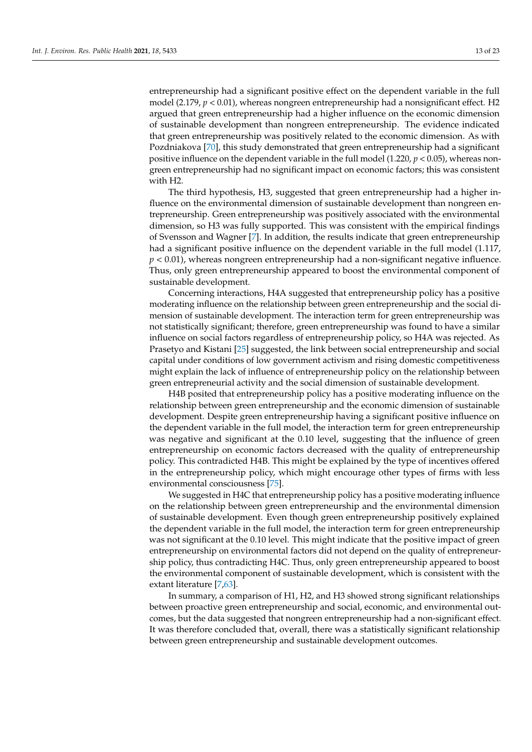entrepreneurship had a significant positive effect on the dependent variable in the full model (2.179, *p* < 0.01), whereas nongreen entrepreneurship had a nonsignificant effect. H2 argued that green entrepreneurship had a higher influence on the economic dimension of sustainable development than nongreen entrepreneurship. The evidence indicated that green entrepreneurship was positively related to the economic dimension. As with Pozdniakova [\[70\]](#page-22-1), this study demonstrated that green entrepreneurship had a significant positive influence on the dependent variable in the full model (1.220, *p* < 0.05), whereas nongreen entrepreneurship had no significant impact on economic factors; this was consistent with H2.

The third hypothesis, H3, suggested that green entrepreneurship had a higher influence on the environmental dimension of sustainable development than nongreen entrepreneurship. Green entrepreneurship was positively associated with the environmental dimension, so H3 was fully supported. This was consistent with the empirical findings of Svensson and Wagner [\[7\]](#page-20-1). In addition, the results indicate that green entrepreneurship had a significant positive influence on the dependent variable in the full model (1.117, *p* < 0.01), whereas nongreen entrepreneurship had a non-significant negative influence. Thus, only green entrepreneurship appeared to boost the environmental component of sustainable development.

Concerning interactions, H4A suggested that entrepreneurship policy has a positive moderating influence on the relationship between green entrepreneurship and the social dimension of sustainable development. The interaction term for green entrepreneurship was not statistically significant; therefore, green entrepreneurship was found to have a similar influence on social factors regardless of entrepreneurship policy, so H4A was rejected. As Prasetyo and Kistani [\[25\]](#page-20-29) suggested, the link between social entrepreneurship and social capital under conditions of low government activism and rising domestic competitiveness might explain the lack of influence of entrepreneurship policy on the relationship between green entrepreneurial activity and the social dimension of sustainable development.

H4B posited that entrepreneurship policy has a positive moderating influence on the relationship between green entrepreneurship and the economic dimension of sustainable development. Despite green entrepreneurship having a significant positive influence on the dependent variable in the full model, the interaction term for green entrepreneurship was negative and significant at the 0.10 level, suggesting that the influence of green entrepreneurship on economic factors decreased with the quality of entrepreneurship policy. This contradicted H4B. This might be explained by the type of incentives offered in the entrepreneurship policy, which might encourage other types of firms with less environmental consciousness [\[75\]](#page-22-6).

We suggested in H4C that entrepreneurship policy has a positive moderating influence on the relationship between green entrepreneurship and the environmental dimension of sustainable development. Even though green entrepreneurship positively explained the dependent variable in the full model, the interaction term for green entrepreneurship was not significant at the 0.10 level. This might indicate that the positive impact of green entrepreneurship on environmental factors did not depend on the quality of entrepreneurship policy, thus contradicting H4C. Thus, only green entrepreneurship appeared to boost the environmental component of sustainable development, which is consistent with the extant literature [\[7,](#page-20-1)[63\]](#page-21-25).

In summary, a comparison of H1, H2, and H3 showed strong significant relationships between proactive green entrepreneurship and social, economic, and environmental outcomes, but the data suggested that nongreen entrepreneurship had a non-significant effect. It was therefore concluded that, overall, there was a statistically significant relationship between green entrepreneurship and sustainable development outcomes.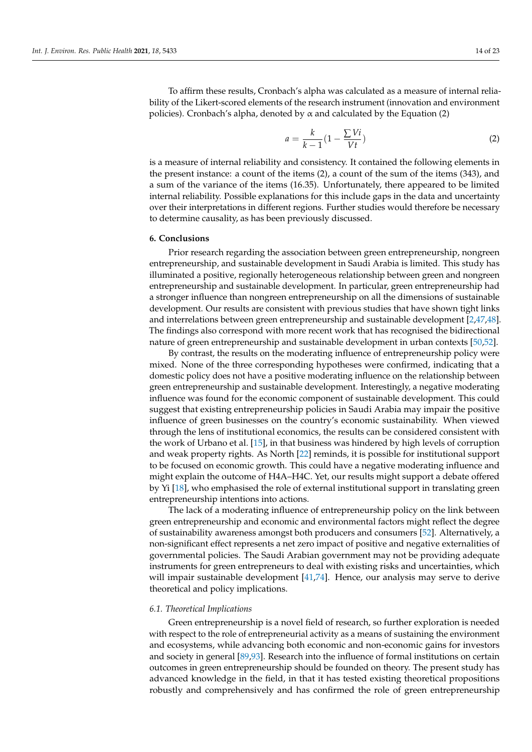To affirm these results, Cronbach's alpha was calculated as a measure of internal reliability of the Likert-scored elements of the research instrument (innovation and environment policies). Cronbach's alpha, denoted by  $\alpha$  and calculated by the Equation (2)

$$
a = \frac{k}{k-1} \left( 1 - \frac{\sum Vi}{Vt} \right) \tag{2}
$$

is a measure of internal reliability and consistency. It contained the following elements in the present instance: a count of the items (2), a count of the sum of the items (343), and a sum of the variance of the items (16.35). Unfortunately, there appeared to be limited internal reliability. Possible explanations for this include gaps in the data and uncertainty over their interpretations in different regions. Further studies would therefore be necessary to determine causality, as has been previously discussed.

#### <span id="page-13-0"></span>**6. Conclusions**

Prior research regarding the association between green entrepreneurship, nongreen entrepreneurship, and sustainable development in Saudi Arabia is limited. This study has illuminated a positive, regionally heterogeneous relationship between green and nongreen entrepreneurship and sustainable development. In particular, green entrepreneurship had a stronger influence than nongreen entrepreneurship on all the dimensions of sustainable development. Our results are consistent with previous studies that have shown tight links and interrelations between green entrepreneurship and sustainable development [\[2](#page-19-2)[,47](#page-21-10)[,48\]](#page-21-11). The findings also correspond with more recent work that has recognised the bidirectional nature of green entrepreneurship and sustainable development in urban contexts [\[50,](#page-21-13)[52\]](#page-21-15).

By contrast, the results on the moderating influence of entrepreneurship policy were mixed. None of the three corresponding hypotheses were confirmed, indicating that a domestic policy does not have a positive moderating influence on the relationship between green entrepreneurship and sustainable development. Interestingly, a negative moderating influence was found for the economic component of sustainable development. This could suggest that existing entrepreneurship policies in Saudi Arabia may impair the positive influence of green businesses on the country's economic sustainability. When viewed through the lens of institutional economics, the results can be considered consistent with the work of Urbano et al. [\[15\]](#page-20-10), in that business was hindered by high levels of corruption and weak property rights. As North [\[22\]](#page-20-17) reminds, it is possible for institutional support to be focused on economic growth. This could have a negative moderating influence and might explain the outcome of H4A–H4C. Yet, our results might support a debate offered by Yi [\[18\]](#page-20-13), who emphasised the role of external institutional support in translating green entrepreneurship intentions into actions.

The lack of a moderating influence of entrepreneurship policy on the link between green entrepreneurship and economic and environmental factors might reflect the degree of sustainability awareness amongst both producers and consumers [\[52\]](#page-21-15). Alternatively, a non-significant effect represents a net zero impact of positive and negative externalities of governmental policies. The Saudi Arabian government may not be providing adequate instruments for green entrepreneurs to deal with existing risks and uncertainties, which will impair sustainable development [\[41](#page-21-4)[,74\]](#page-22-5). Hence, our analysis may serve to derive theoretical and policy implications.

#### *6.1. Theoretical Implications*

Green entrepreneurship is a novel field of research, so further exploration is needed with respect to the role of entrepreneurial activity as a means of sustaining the environment and ecosystems, while advancing both economic and non-economic gains for investors and society in general [\[89](#page-22-19)[,93\]](#page-22-23). Research into the influence of formal institutions on certain outcomes in green entrepreneurship should be founded on theory. The present study has advanced knowledge in the field, in that it has tested existing theoretical propositions robustly and comprehensively and has confirmed the role of green entrepreneurship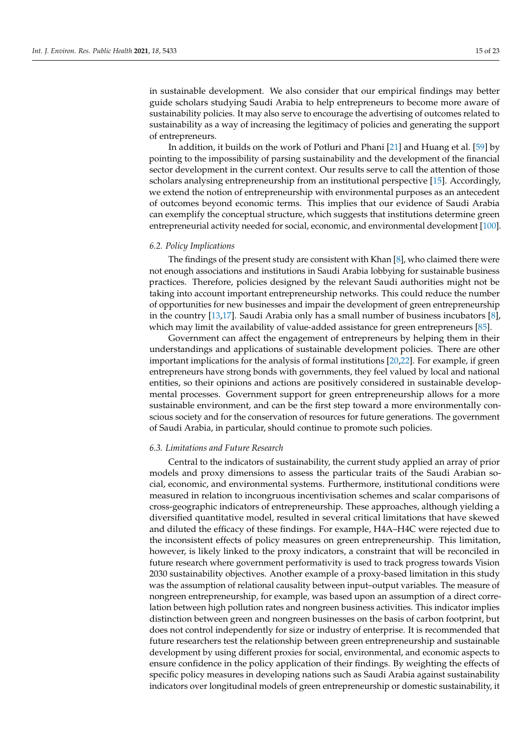in sustainable development. We also consider that our empirical findings may better guide scholars studying Saudi Arabia to help entrepreneurs to become more aware of sustainability policies. It may also serve to encourage the advertising of outcomes related to sustainability as a way of increasing the legitimacy of policies and generating the support of entrepreneurs.

In addition, it builds on the work of Potluri and Phani [\[21\]](#page-20-16) and Huang et al. [\[59\]](#page-21-21) by pointing to the impossibility of parsing sustainability and the development of the financial sector development in the current context. Our results serve to call the attention of those scholars analysing entrepreneurship from an institutional perspective [\[15\]](#page-20-10). Accordingly, we extend the notion of entrepreneurship with environmental purposes as an antecedent of outcomes beyond economic terms. This implies that our evidence of Saudi Arabia can exemplify the conceptual structure, which suggests that institutions determine green entrepreneurial activity needed for social, economic, and environmental development [\[100\]](#page-22-30).

#### *6.2. Policy Implications*

The findings of the present study are consistent with Khan [\[8\]](#page-20-2), who claimed there were not enough associations and institutions in Saudi Arabia lobbying for sustainable business practices. Therefore, policies designed by the relevant Saudi authorities might not be taking into account important entrepreneurship networks. This could reduce the number of opportunities for new businesses and impair the development of green entrepreneurship in the country [\[13,](#page-20-8)[17\]](#page-20-12). Saudi Arabia only has a small number of business incubators [\[8\]](#page-20-2), which may limit the availability of value-added assistance for green entrepreneurs [\[85\]](#page-22-15).

Government can affect the engagement of entrepreneurs by helping them in their understandings and applications of sustainable development policies. There are other important implications for the analysis of formal institutions [\[20,](#page-20-15)[22\]](#page-20-17). For example, if green entrepreneurs have strong bonds with governments, they feel valued by local and national entities, so their opinions and actions are positively considered in sustainable developmental processes. Government support for green entrepreneurship allows for a more sustainable environment, and can be the first step toward a more environmentally conscious society and for the conservation of resources for future generations. The government of Saudi Arabia, in particular, should continue to promote such policies.

#### *6.3. Limitations and Future Research*

Central to the indicators of sustainability, the current study applied an array of prior models and proxy dimensions to assess the particular traits of the Saudi Arabian social, economic, and environmental systems. Furthermore, institutional conditions were measured in relation to incongruous incentivisation schemes and scalar comparisons of cross-geographic indicators of entrepreneurship. These approaches, although yielding a diversified quantitative model, resulted in several critical limitations that have skewed and diluted the efficacy of these findings. For example, H4A–H4C were rejected due to the inconsistent effects of policy measures on green entrepreneurship. This limitation, however, is likely linked to the proxy indicators, a constraint that will be reconciled in future research where government performativity is used to track progress towards Vision 2030 sustainability objectives. Another example of a proxy-based limitation in this study was the assumption of relational causality between input–output variables. The measure of nongreen entrepreneurship, for example, was based upon an assumption of a direct correlation between high pollution rates and nongreen business activities. This indicator implies distinction between green and nongreen businesses on the basis of carbon footprint, but does not control independently for size or industry of enterprise. It is recommended that future researchers test the relationship between green entrepreneurship and sustainable development by using different proxies for social, environmental, and economic aspects to ensure confidence in the policy application of their findings. By weighting the effects of specific policy measures in developing nations such as Saudi Arabia against sustainability indicators over longitudinal models of green entrepreneurship or domestic sustainability, it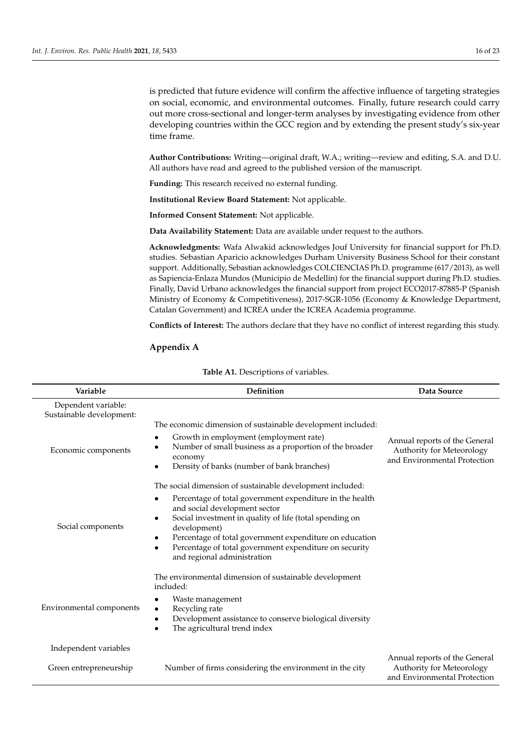is predicted that future evidence will confirm the affective influence of targeting strategies on social, economic, and environmental outcomes. Finally, future research could carry out more cross-sectional and longer-term analyses by investigating evidence from other developing countries within the GCC region and by extending the present study's six-year time frame.

**Author Contributions:** Writing—original draft, W.A.; writing—review and editing, S.A. and D.U. All authors have read and agreed to the published version of the manuscript.

**Funding:** This research received no external funding.

**Institutional Review Board Statement:** Not applicable.

**Informed Consent Statement:** Not applicable.

**Data Availability Statement:** Data are available under request to the authors.

**Acknowledgments:** Wafa Alwakid acknowledges Jouf University for financial support for Ph.D. studies. Sebastian Aparicio acknowledges Durham University Business School for their constant support. Additionally, Sebastian acknowledges COLCIENCIAS Ph.D. programme (617/2013), as well as Sapiencia-Enlaza Mundos (Municipio de Medellín) for the financial support during Ph.D. studies. Finally, David Urbano acknowledges the financial support from project ECO2017-87885-P (Spanish Ministry of Economy & Competitiveness), 2017-SGR-1056 (Economy & Knowledge Department, Catalan Government) and ICREA under the ICREA Academia programme.

**Conflicts of Interest:** The authors declare that they have no conflict of interest regarding this study.

#### <span id="page-15-0"></span>**Appendix A**

| Variable                                        | Definition                                                                                                                                                                                                                                                                                                                                                                                                                        | Data Source                                                                                |
|-------------------------------------------------|-----------------------------------------------------------------------------------------------------------------------------------------------------------------------------------------------------------------------------------------------------------------------------------------------------------------------------------------------------------------------------------------------------------------------------------|--------------------------------------------------------------------------------------------|
| Dependent variable:<br>Sustainable development: | The economic dimension of sustainable development included:                                                                                                                                                                                                                                                                                                                                                                       |                                                                                            |
| Economic components                             | Growth in employment (employment rate)<br>٠<br>Number of small business as a proportion of the broader<br>٠<br>economy<br>Density of banks (number of bank branches)<br>$\bullet$                                                                                                                                                                                                                                                 | Annual reports of the General<br>Authority for Meteorology<br>and Environmental Protection |
| Social components                               | The social dimension of sustainable development included:<br>Percentage of total government expenditure in the health<br>$\bullet$<br>and social development sector<br>Social investment in quality of life (total spending on<br>$\bullet$<br>development)<br>Percentage of total government expenditure on education<br>$\bullet$<br>Percentage of total government expenditure on security<br>٠<br>and regional administration |                                                                                            |
| Environmental components                        | The environmental dimension of sustainable development<br>included:<br>Waste management<br>٠<br>Recycling rate<br>$\bullet$<br>Development assistance to conserve biological diversity<br>$\bullet$<br>The agricultural trend index<br>$\bullet$                                                                                                                                                                                  |                                                                                            |
| Independent variables<br>Green entrepreneurship | Number of firms considering the environment in the city                                                                                                                                                                                                                                                                                                                                                                           | Annual reports of the General<br>Authority for Meteorology<br>and Environmental Protection |

**Table A1.** Descriptions of variables.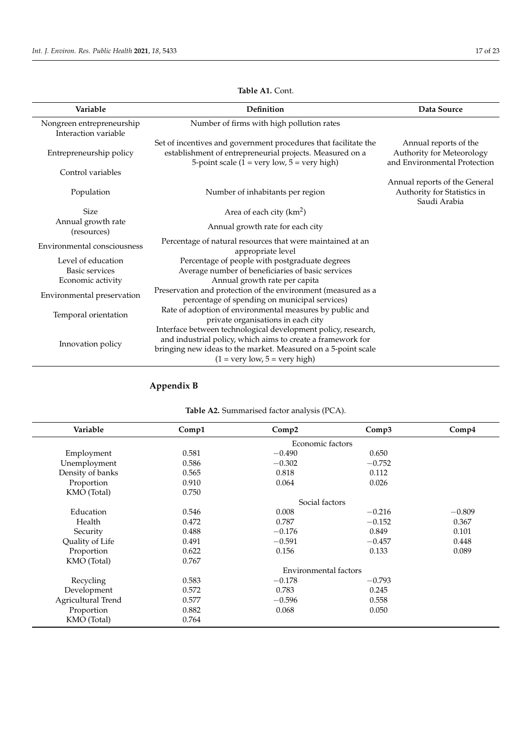j.

| Variable                                          | Definition                                                                                                                                                                                                                                     | Data Source                                                                        |
|---------------------------------------------------|------------------------------------------------------------------------------------------------------------------------------------------------------------------------------------------------------------------------------------------------|------------------------------------------------------------------------------------|
| Nongreen entrepreneurship<br>Interaction variable | Number of firms with high pollution rates                                                                                                                                                                                                      |                                                                                    |
| Entrepreneurship policy                           | Set of incentives and government procedures that facilitate the<br>establishment of entrepreneurial projects. Measured on a<br>5-point scale ( $1 = \text{very low}, 5 = \text{very high}$ )                                                   | Annual reports of the<br>Authority for Meteorology<br>and Environmental Protection |
| Control variables                                 |                                                                                                                                                                                                                                                |                                                                                    |
| Population                                        | Number of inhabitants per region                                                                                                                                                                                                               | Annual reports of the General<br>Authority for Statistics in<br>Saudi Arabia       |
| <b>Size</b>                                       | Area of each city $(km^2)$                                                                                                                                                                                                                     |                                                                                    |
| Annual growth rate<br>(resources)                 | Annual growth rate for each city                                                                                                                                                                                                               |                                                                                    |
| Environmental consciousness                       | Percentage of natural resources that were maintained at an<br>appropriate level                                                                                                                                                                |                                                                                    |
| Level of education<br><b>Basic services</b>       | Percentage of people with postgraduate degrees                                                                                                                                                                                                 |                                                                                    |
| Economic activity                                 | Average number of beneficiaries of basic services<br>Annual growth rate per capita                                                                                                                                                             |                                                                                    |
| Environmental preservation                        | Preservation and protection of the environment (measured as a<br>percentage of spending on municipal services)                                                                                                                                 |                                                                                    |
| Temporal orientation                              | Rate of adoption of environmental measures by public and<br>private organisations in each city                                                                                                                                                 |                                                                                    |
| Innovation policy                                 | Interface between technological development policy, research,<br>and industrial policy, which aims to create a framework for<br>bringing new ideas to the market. Measured on a 5-point scale<br>$(1 = \text{very low}, 5 = \text{very high})$ |                                                                                    |

## **Table A1.** Cont.

# <span id="page-16-0"></span>**Appendix B**

| Variable           | Comp1 | Comp2                 | Comp3    | Comp <sub>4</sub> |
|--------------------|-------|-----------------------|----------|-------------------|
|                    |       | Economic factors      |          |                   |
| Employment         | 0.581 | $-0.490$              | 0.650    |                   |
| Unemployment       | 0.586 | $-0.302$              | $-0.752$ |                   |
| Density of banks   | 0.565 | 0.818                 | 0.112    |                   |
| Proportion         | 0.910 | 0.064                 | 0.026    |                   |
| KMO (Total)        | 0.750 |                       |          |                   |
|                    |       | Social factors        |          |                   |
| Education          | 0.546 | 0.008                 | $-0.216$ | $-0.809$          |
| Health             | 0.472 | 0.787                 | $-0.152$ | 0.367             |
| Security           | 0.488 | $-0.176$              | 0.849    | 0.101             |
| Quality of Life    | 0.491 | $-0.591$              | $-0.457$ | 0.448             |
| Proportion         | 0.622 | 0.156                 | 0.133    | 0.089             |
| KMO (Total)        | 0.767 |                       |          |                   |
|                    |       | Environmental factors |          |                   |
| Recycling          | 0.583 | $-0.178$              | $-0.793$ |                   |
| Development        | 0.572 | 0.783                 | 0.245    |                   |
| Agricultural Trend | 0.577 | $-0.596$              | 0.558    |                   |
| Proportion         | 0.882 | 0.068                 | 0.050    |                   |
| KMO (Total)        | 0.764 |                       |          |                   |

# **Table A2.** Summarised factor analysis (PCA).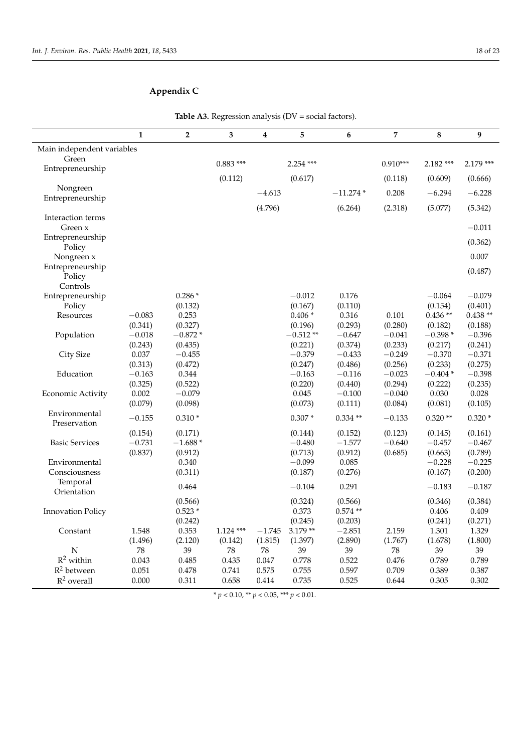# <span id="page-17-0"></span>**Appendix C**

|                                | $\mathbf{1}$        | $\overline{2}$       | 3           | 4          | 5                     | 6                    | 7                   | 8                    | 9                   |
|--------------------------------|---------------------|----------------------|-------------|------------|-----------------------|----------------------|---------------------|----------------------|---------------------|
| Main independent variables     |                     |                      |             |            |                       |                      |                     |                      |                     |
| Green                          |                     |                      | $0.883***$  |            | $2.254$ ***           |                      | $0.910***$          | $2.182***$           | $2.179***$          |
| Entrepreneurship               |                     |                      |             |            |                       |                      |                     |                      |                     |
|                                |                     |                      | (0.112)     |            | (0.617)               |                      | (0.118)             | (0.609)              | (0.666)             |
| Nongreen                       |                     |                      |             | $-4.613$   |                       | $-11.274*$           | 0.208               | $-6.294$             | $-6.228$            |
| Entrepreneurship               |                     |                      |             | (4.796)    |                       | (6.264)              | (2.318)             | (5.077)              | (5.342)             |
| Interaction terms              |                     |                      |             |            |                       |                      |                     |                      |                     |
| Green x                        |                     |                      |             |            |                       |                      |                     |                      | $-0.011$            |
| Entrepreneurship               |                     |                      |             |            |                       |                      |                     |                      | (0.362)             |
| Policy                         |                     |                      |             |            |                       |                      |                     |                      |                     |
| Nongreen x<br>Entrepreneurship |                     |                      |             |            |                       |                      |                     |                      | 0.007               |
| Policy                         |                     |                      |             |            |                       |                      |                     |                      | (0.487)             |
| Controls                       |                     |                      |             |            |                       |                      |                     |                      |                     |
| Entrepreneurship               |                     | $0.286*$             |             |            | $-0.012$              | 0.176                |                     | $-0.064$             | $-0.079$            |
| Policy                         |                     | (0.132)              |             |            | (0.167)               | (0.110)              |                     | (0.154)              | (0.401)             |
| Resources                      | $-0.083$            | 0.253                |             |            | $0.406*$              | 0.316                | 0.101               | $0.436**$            | $0.438**$           |
|                                | (0.341)             | (0.327)              |             |            | (0.196)               | (0.293)              | (0.280)             | (0.182)              | (0.188)             |
| Population                     | $-0.018$<br>(0.243) | $-0.872*$<br>(0.435) |             |            | $-0.512**$<br>(0.221) | $-0.647$<br>(0.374)  | $-0.041$<br>(0.233) | $-0.398*$<br>(0.217) | $-0.396$<br>(0.241) |
| <b>City Size</b>               | 0.037               | $-0.455$             |             |            | $-0.379$              | $-0.433$             | $-0.249$            | $-0.370$             | $-0.371$            |
|                                | (0.313)             | (0.472)              |             |            | (0.247)               | (0.486)              | (0.256)             | (0.233)              | (0.275)             |
| Education                      | $-0.163$            | 0.344                |             |            | $-0.163$              | $-0.116$             | $-0.023$            | $-0.404*$            | $-0.398$            |
|                                | (0.325)             | (0.522)              |             |            | (0.220)               | (0.440)              | (0.294)             | (0.222)              | (0.235)             |
| Economic Activity              | 0.002               | $-0.079$             |             |            | 0.045                 | $-0.100$             | $-0.040$            | 0.030                | 0.028               |
|                                | (0.079)             | (0.098)              |             |            | (0.073)               | (0.111)              | (0.084)             | (0.081)              | (0.105)             |
| Environmental                  | $-0.155$            | $0.310*$             |             |            | $0.307*$              | $0.334**$            | $-0.133$            | $0.320**$            | $0.320*$            |
| Preservation                   | (0.154)             | (0.171)              |             |            | (0.144)               | (0.152)              | (0.123)             | (0.145)              | (0.161)             |
| <b>Basic Services</b>          | $-0.731$            | $-1.688*$            |             |            | $-0.480$              | $-1.577$             | $-0.640$            | $-0.457$             | $-0.467$            |
|                                | (0.837)             | (0.912)              |             |            | (0.713)               | (0.912)              | (0.685)             | (0.663)              | (0.789)             |
| Environmental                  |                     | 0.340                |             |            | $-0.099$              | 0.085                |                     | $-0.228$             | $-0.225$            |
| Consciousness                  |                     | (0.311)              |             |            | (0.187)               | (0.276)              |                     | (0.167)              | (0.200)             |
| Temporal                       |                     | 0.464                |             |            | $-0.104$              | 0.291                |                     | $-0.183$             | $-0.187$            |
| Orientation                    |                     |                      |             |            |                       |                      |                     |                      |                     |
|                                |                     | (0.566)<br>$0.523*$  |             |            | (0.324)<br>0.373      | (0.566)<br>$0.574**$ |                     | (0.346)              | (0.384)<br>0.409    |
| <b>Innovation Policy</b>       |                     | (0.242)              |             |            | (0.245)               | (0.203)              |                     | 0.406<br>(0.241)     | (0.271)             |
| Constant                       | 1.548               | 0.353                | $1.124$ *** | $-1.745$   | $3.179**$             | $-2.851$             | 2.159               | 1.301                | 1.329               |
|                                | (1.496)             | (2.120)              | (0.142)     | (1.815)    | (1.397)               | (2.890)              | (1.767)             | (1.678)              | (1.800)             |
| N                              | 78                  | 39                   | 78          | ${\bf 78}$ | 39                    | 39                   | 78                  | 39                   | 39                  |
| $R^2$ within                   | 0.043               | 0.485                | 0.435       | 0.047      | 0.778                 | 0.522                | 0.476               | 0.789                | 0.789               |
| $R^2$ between                  | 0.051               | 0.478                | 0.741       | 0.575      | 0.755                 | 0.597                | 0.709               | 0.389                | 0.387               |
| $R^2$ overall                  | 0.000               | 0.311                | 0.658       | 0.414      | 0.735                 | 0.525                | 0.644               | 0.305                | 0.302               |

**Table A3.** Regression analysis (DV = social factors).

 $\frac{\text{*}}{\text{*}} p < 0.10, \frac{\text{*}}{\text{*}} p < 0.05, \frac{\text{*}}{\text{*}} p < 0.01.$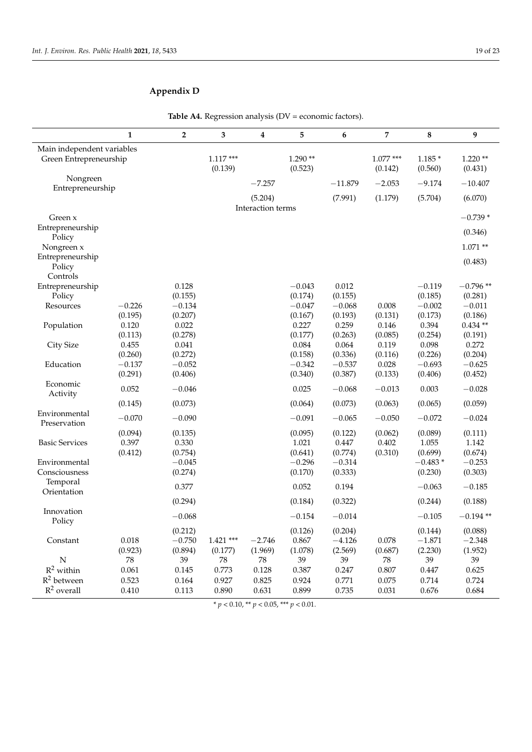# **Appendix D**

|                               | $\mathbf{1}$     | $\mathbf{2}$        | 3                      | 4                   | 5                | 6                   | 7                | 8                   | 9                    |
|-------------------------------|------------------|---------------------|------------------------|---------------------|------------------|---------------------|------------------|---------------------|----------------------|
| Main independent variables    |                  |                     |                        |                     |                  |                     |                  |                     |                      |
| Green Entrepreneurship        |                  |                     | $1.117***$             |                     | $1.290**$        |                     | $1.077***$       | $1.185*$            | $1.220**$            |
|                               |                  |                     | (0.139)                |                     | (0.523)          |                     | (0.142)          | (0.560)             | (0.431)              |
| Nongreen                      |                  |                     |                        | $-7.257$            |                  | $-11.879$           | $-2.053$         | $-9.174$            | $-10.407$            |
| Entrepreneurship              |                  |                     |                        |                     |                  |                     |                  |                     |                      |
|                               |                  |                     |                        | (5.204)             |                  | (7.991)             | (1.179)          | (5.704)             | (6.070)              |
| Green x                       |                  |                     |                        | Interaction terms   |                  |                     |                  |                     | $-0.739*$            |
| Entrepreneurship              |                  |                     |                        |                     |                  |                     |                  |                     |                      |
| Policy                        |                  |                     |                        |                     |                  |                     |                  |                     | (0.346)              |
| Nongreen x                    |                  |                     |                        |                     |                  |                     |                  |                     | $1.071**$            |
| Entrepreneurship              |                  |                     |                        |                     |                  |                     |                  |                     |                      |
| Policy                        |                  |                     |                        |                     |                  |                     |                  |                     | (0.483)              |
| Controls                      |                  |                     |                        |                     |                  |                     |                  |                     |                      |
| Entrepreneurship              |                  | 0.128               |                        |                     | $-0.043$         | 0.012               |                  | $-0.119$            | $-0.796**$           |
| Policy                        |                  | (0.155)             |                        |                     | (0.174)          | (0.155)             |                  | (0.185)             | (0.281)              |
| Resources                     | $-0.226$         | $-0.134$            |                        |                     | $-0.047$         | $-0.068$            | 0.008            | $-0.002$            | $-0.011$             |
|                               | (0.195)          | (0.207)<br>0.022    |                        |                     | (0.167)          | (0.193)<br>0.259    | (0.131)          | (0.173)             | (0.186)              |
| Population                    | 0.120<br>(0.113) | (0.278)             |                        |                     | 0.227<br>(0.177) | (0.263)             | 0.146<br>(0.085) | 0.394<br>(0.254)    | $0.434**$<br>(0.191) |
| City Size                     | 0.455            | 0.041               |                        |                     | 0.084            | 0.064               | 0.119            | 0.098               | 0.272                |
|                               | (0.260)          | (0.272)             |                        |                     | (0.158)          | (0.336)             | (0.116)          | (0.226)             | (0.204)              |
| Education                     | $-0.137$         | $-0.052$            |                        |                     | $-0.342$         | $-0.537$            | 0.028            | $-0.693$            | $-0.625$             |
|                               | (0.291)          | (0.406)             |                        |                     | (0.340)          | (0.387)             | (0.133)          | (0.406)             | (0.452)              |
| Economic                      |                  |                     |                        |                     |                  |                     |                  |                     |                      |
| Activity                      | 0.052            | $-0.046$            |                        |                     | 0.025            | $-0.068$            | $-0.013$         | 0.003               | $-0.028$             |
|                               | (0.145)          | (0.073)             |                        |                     | (0.064)          | (0.073)             | (0.063)          | (0.065)             | (0.059)              |
| Environmental<br>Preservation | $-0.070$         | $-0.090$            |                        |                     | $-0.091$         | $-0.065$            | $-0.050$         | $-0.072$            | $-0.024$             |
|                               | (0.094)          | (0.135)             |                        |                     | (0.095)          | (0.122)             | (0.062)          | (0.089)             | (0.111)              |
| <b>Basic Services</b>         | 0.397            | 0.330               |                        |                     | 1.021            | 0.447               | 0.402            | 1.055               | 1.142                |
|                               | (0.412)          | (0.754)             |                        |                     | (0.641)          | (0.774)             | (0.310)          | (0.699)             | (0.674)              |
| Environmental                 |                  | $-0.045$            |                        |                     | $-0.296$         | $-0.314$            |                  | $-0.483*$           | $-0.253$             |
| Consciousness                 |                  | (0.274)             |                        |                     | (0.170)          | (0.333)             |                  | (0.230)             | (0.303)              |
| Temporal<br>Orientation       |                  | 0.377               |                        |                     | 0.052            | 0.194               |                  | $-0.063$            | $-0.185$             |
|                               |                  | (0.294)             |                        |                     | (0.184)          | (0.322)             |                  | (0.244)             | (0.188)              |
| Innovation                    |                  | $-0.068$            |                        |                     | $-0.154$         | $-0.014$            |                  | $-0.105$            | $-0.194**$           |
| Policy                        |                  |                     |                        |                     |                  |                     |                  |                     |                      |
| Constant                      |                  | (0.212)             |                        |                     | (0.126)          | (0.204)             |                  | (0.144)             | (0.088)<br>$-2.348$  |
|                               | 0.018<br>(0.923) | $-0.750$<br>(0.894) | $1.421$ ***<br>(0.177) | $-2.746$<br>(1.969) | 0.867<br>(1.078) | $-4.126$<br>(2.569) | 0.078<br>(0.687) | $-1.871$<br>(2.230) | (1.952)              |
| ${\rm N}$                     | 78               | 39                  | ${\bf 78}$             | ${\bf 78}$          | 39               | 39                  | 78               | 39                  | 39                   |
| $R^2$ within                  | 0.061            | 0.145               | 0.773                  | 0.128               | 0.387            | 0.247               | $0.807\,$        | 0.447               | 0.625                |
| $R^2$ between                 | 0.523            | 0.164               | 0.927                  | 0.825               | 0.924            | 0.771               | 0.075            | 0.714               | 0.724                |
| $R^2$ overall                 | 0.410            | 0.113               | 0.890                  | 0.631               | 0.899            | 0.735               | 0.031            | 0.676               | 0.684                |

Table A4. Regression analysis (DV = economic factors).

 $* p < 0.10, ** p < 0.05, ** p < 0.01.$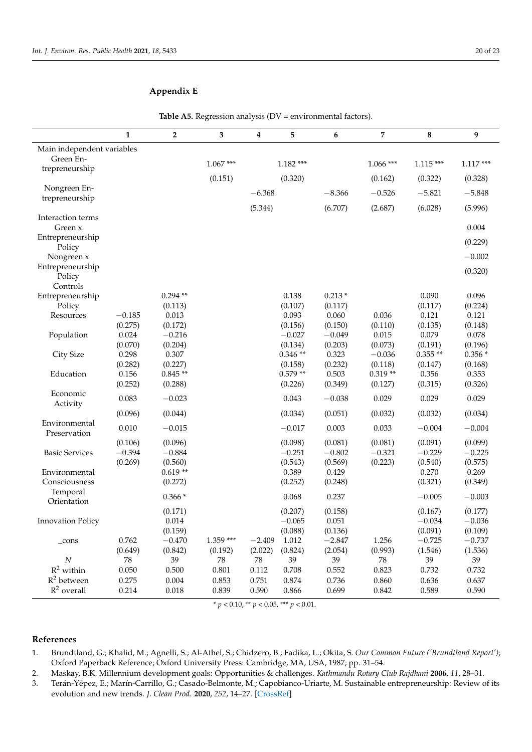## <span id="page-19-3"></span>**Appendix E**

|                            | $\mathbf{1}$     | $\overline{2}$      | 3          | 4        | 5                   | 6                   | 7                | 8                | 9                |
|----------------------------|------------------|---------------------|------------|----------|---------------------|---------------------|------------------|------------------|------------------|
| Main independent variables |                  |                     |            |          |                     |                     |                  |                  |                  |
| Green En-                  |                  |                     | $1.067***$ |          | $1.182***$          |                     | $1.066$ ***      | $1.115***$       | $1.117***$       |
| trepreneurship             |                  |                     |            |          |                     |                     |                  |                  |                  |
| Nongreen En-               |                  |                     | (0.151)    |          | (0.320)             |                     | (0.162)          | (0.322)          | (0.328)          |
| trepreneurship             |                  |                     |            | $-6.368$ |                     | $-8.366$            | $-0.526$         | $-5.821$         | $-5.848$         |
|                            |                  |                     |            | (5.344)  |                     | (6.707)             | (2.687)          | (6.028)          | (5.996)          |
| Interaction terms          |                  |                     |            |          |                     |                     |                  |                  |                  |
| Green x                    |                  |                     |            |          |                     |                     |                  |                  | 0.004            |
| Entrepreneurship           |                  |                     |            |          |                     |                     |                  |                  | (0.229)          |
| Policy<br>Nongreen x       |                  |                     |            |          |                     |                     |                  |                  | $-0.002$         |
| Entrepreneurship           |                  |                     |            |          |                     |                     |                  |                  |                  |
| Policy                     |                  |                     |            |          |                     |                     |                  |                  | (0.320)          |
| Controls                   |                  |                     |            |          |                     |                     |                  |                  |                  |
| Entrepreneurship           |                  | $0.294**$           |            |          | 0.138               | $0.213*$            |                  | 0.090            | 0.096            |
| Policy                     |                  | (0.113)             |            |          | (0.107)             | (0.117)             |                  | (0.117)          | (0.224)          |
| Resources                  | $-0.185$         | 0.013               |            |          | 0.093               | 0.060               | 0.036            | 0.121            | 0.121            |
|                            | (0.275)          | (0.172)             |            |          | (0.156)             | (0.150)             | (0.110)          | (0.135)          | (0.148)          |
| Population                 | 0.024<br>(0.070) | $-0.216$<br>(0.204) |            |          | $-0.027$<br>(0.134) | $-0.049$<br>(0.203) | 0.015<br>(0.073) | 0.079<br>(0.191) | 0.078<br>(0.196) |
| City Size                  | 0.298            | 0.307               |            |          | $0.346**$           | 0.323               | $-0.036$         | $0.355**$        | $0.356*$         |
|                            | (0.282)          | (0.227)             |            |          | (0.158)             | (0.232)             | (0.118)          | (0.147)          | (0.168)          |
| Education                  | 0.156            | $0.845**$           |            |          | $0.579**$           | 0.503               | $0.319**$        | 0.356            | 0.353            |
|                            | (0.252)          | (0.288)             |            |          | (0.226)             | (0.349)             | (0.127)          | (0.315)          | (0.326)          |
| Economic                   | 0.083            | $-0.023$            |            |          | 0.043               | $-0.038$            | 0.029            | 0.029            | 0.029            |
| Activity                   |                  |                     |            |          |                     |                     |                  |                  |                  |
| Environmental              | (0.096)          | (0.044)             |            |          | (0.034)             | (0.051)             | (0.032)          | (0.032)          | (0.034)          |
| Preservation               | 0.010            | $-0.015$            |            |          | $-0.017$            | 0.003               | 0.033            | $-0.004$         | $-0.004$         |
|                            | (0.106)          | (0.096)             |            |          | (0.098)             | (0.081)             | (0.081)          | (0.091)          | (0.099)          |
| <b>Basic Services</b>      | $-0.394$         | $-0.884$            |            |          | $-0.251$            | $-0.802$            | $-0.321$         | $-0.229$         | $-0.225$         |
|                            | (0.269)          | (0.560)             |            |          | (0.543)             | (0.569)             | (0.223)          | (0.540)          | (0.575)          |
| Environmental              |                  | $0.619**$           |            |          | 0.389               | 0.429               |                  | 0.270            | 0.269            |
| Consciousness              |                  | (0.272)             |            |          | (0.252)             | (0.248)             |                  | (0.321)          | (0.349)          |
| Temporal<br>Orientation    |                  | $0.366*$            |            |          | 0.068               | 0.237               |                  | $-0.005$         | $-0.003$         |
|                            |                  | (0.171)             |            |          | (0.207)             | (0.158)             |                  | (0.167)          | (0.177)          |
| <b>Innovation Policy</b>   |                  | 0.014               |            |          | $-0.065$            | 0.051               |                  | $-0.034$         | $-0.036$         |
|                            |                  | (0.159)             |            |          | (0.088)             | (0.136)             |                  | (0.091)          | (0.109)          |
| _cons                      | 0.762            | $-0.470$            | $1.359***$ | $-2.409$ | 1.012               | $-2.847$            | 1.256            | $-0.725$         | $-0.737$         |
|                            | (0.649)          | (0.842)             | (0.192)    | (2.022)  | (0.824)             | (2.054)             | (0.993)          | (1.546)          | (1.536)          |
| N                          | ${\bf 78}$       | 39                  | 78         | 78       | 39                  | 39                  | 78               | 39               | 39               |
| $R^2$ within               | 0.050            | 0.500               | 0.801      | 0.112    | 0.708               | 0.552               | 0.823            | 0.732            | 0.732            |
| $R^2$ between              | 0.275            | 0.004               | 0.853      | 0.751    | 0.874               | 0.736               | 0.860            | 0.636            | 0.637            |
| $R^2$ overall              | 0.214            | 0.018               | 0.839      | 0.590    | 0.866               | 0.699               | 0.842            | 0.589            | 0.590            |

Table A5. Regression analysis (DV = environmental factors).

\* *p* < 0.10, \*\* *p* < 0.05, \*\*\* *p* < 0.01.

### **References**

- <span id="page-19-0"></span>1. Brundtland, G.; Khalid, M.; Agnelli, S.; Al-Athel, S.; Chidzero, B.; Fadika, L.; Okita, S. *Our Common Future ('Brundtland Report')*; Oxford Paperback Reference; Oxford University Press: Cambridge, MA, USA, 1987; pp. 31–54.
- <span id="page-19-2"></span>2. Maskay, B.K. Millennium development goals: Opportunities & challenges. *Kathmandu Rotary Club Rajdhani* **2006**, *11*, 28–31.
- <span id="page-19-1"></span>3. Terán-Yépez, E.; Marín-Carrillo, G.; Casado-Belmonte, M.; Capobianco-Uriarte, M. Sustainable entrepreneurship: Review of its evolution and new trends. *J. Clean Prod.* **2020**, *252*, 14–27. [\[CrossRef\]](http://doi.org/10.1016/j.jclepro.2019.119742)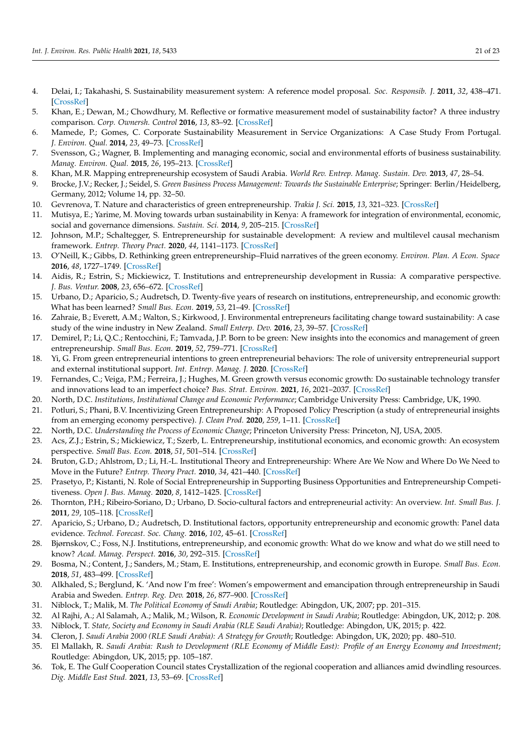- <span id="page-20-0"></span>4. Delai, I.; Takahashi, S. Sustainability measurement system: A reference model proposal. *Soc. Responsib. J.* **2011**, *32*, 438–471. [\[CrossRef\]](http://doi.org/10.1108/17471111111154563)
- <span id="page-20-3"></span>5. Khan, E.; Dewan, M.; Chowdhury, M. Reflective or formative measurement model of sustainability factor? A three industry comparison. *Corp. Ownersh. Control* **2016**, *13*, 83–92. [\[CrossRef\]](http://doi.org/10.22495/cocv13i2p9)
- <span id="page-20-28"></span>6. Mamede, P.; Gomes, C. Corporate Sustainability Measurement in Service Organizations: A Case Study From Portugal. *J. Environ. Qual.* **2014**, *23*, 49–73. [\[CrossRef\]](http://doi.org/10.1002/tqem.21370)
- <span id="page-20-1"></span>7. Svensson, G.; Wagner, B. Implementing and managing economic, social and environmental efforts of business sustainability. *Manag. Environ. Qual.* **2015**, *26*, 195–213. [\[CrossRef\]](http://doi.org/10.1108/MEQ-09-2013-0099)
- <span id="page-20-2"></span>8. Khan, M.R. Mapping entrepreneurship ecosystem of Saudi Arabia. *World Rev. Entrep. Manag. Sustain. Dev.* **2013**, *47*, 28–54.
- <span id="page-20-4"></span>9. Brocke, J.V.; Recker, J.; Seidel, S. *Green Business Process Management: Towards the Sustainable Enterprise*; Springer: Berlin/Heidelberg, Germany, 2012; Volume 14, pp. 32–50.
- <span id="page-20-5"></span>10. Gevrenova, T. Nature and characteristics of green entrepreneurship. *Trakia J. Sci.* **2015**, *13*, 321–323. [\[CrossRef\]](http://doi.org/10.15547/tjs.2015.s.02.068)
- <span id="page-20-6"></span>11. Mutisya, E.; Yarime, M. Moving towards urban sustainability in Kenya: A framework for integration of environmental, economic, social and governance dimensions. *Sustain. Sci.* **2014**, *9*, 205–215. [\[CrossRef\]](http://doi.org/10.1007/s11625-013-0223-7)
- <span id="page-20-7"></span>12. Johnson, M.P.; Schaltegger, S. Entrepreneurship for sustainable development: A review and multilevel causal mechanism framework. *Entrep. Theory Pract.* **2020**, *44*, 1141–1173. [\[CrossRef\]](http://doi.org/10.1177/1042258719885368)
- <span id="page-20-8"></span>13. O'Neill, K.; Gibbs, D. Rethinking green entrepreneurship–Fluid narratives of the green economy. *Environ. Plan. A Econ. Space* **2016**, *48*, 1727–1749. [\[CrossRef\]](http://doi.org/10.1177/0308518X16650453)
- <span id="page-20-9"></span>14. Aidis, R.; Estrin, S.; Mickiewicz, T. Institutions and entrepreneurship development in Russia: A comparative perspective. *J. Bus. Ventur.* **2008**, *23*, 656–672. [\[CrossRef\]](http://doi.org/10.1016/j.jbusvent.2008.01.005)
- <span id="page-20-10"></span>15. Urbano, D.; Aparicio, S.; Audretsch, D. Twenty-five years of research on institutions, entrepreneurship, and economic growth: What has been learned? *Small Bus. Econ.* **2019**, *53*, 21–49. [\[CrossRef\]](http://doi.org/10.1007/s11187-018-0038-0)
- <span id="page-20-11"></span>16. Zahraie, B.; Everett, A.M.; Walton, S.; Kirkwood, J. Environmental entrepreneurs facilitating change toward sustainability: A case study of the wine industry in New Zealand. *Small Enterp. Dev.* **2016**, *23*, 39–57. [\[CrossRef\]](http://doi.org/10.1080/13215906.2016.1188717)
- <span id="page-20-12"></span>17. Demirel, P.; Li, Q.C.; Rentocchini, F.; Tamvada, J.P. Born to be green: New insights into the economics and management of green entrepreneurship. *Small Bus. Econ.* **2019**, *52*, 759–771. [\[CrossRef\]](http://doi.org/10.1007/s11187-017-9933-z)
- <span id="page-20-13"></span>18. Yi, G. From green entrepreneurial intentions to green entrepreneurial behaviors: The role of university entrepreneurial support and external institutional support. *Int. Entrep. Manag. J.* **2020**. [\[CrossRef\]](http://doi.org/10.1007/s11365-020-00649-y)
- <span id="page-20-14"></span>19. Fernandes, C.; Veiga, P.M.; Ferreira, J.; Hughes, M. Green growth versus economic growth: Do sustainable technology transfer and innovations lead to an imperfect choice? *Bus. Strat. Environ.* **2021**, *16*, 2021–2037. [\[CrossRef\]](http://doi.org/10.1002/bse.2730)
- <span id="page-20-15"></span>20. North, D.C. *Institutions, Institutional Change and Economic Performance*; Cambridge University Press: Cambridge, UK, 1990.
- <span id="page-20-16"></span>21. Potluri, S.; Phani, B.V. Incentivizing Green Entrepreneurship: A Proposed Policy Prescription (a study of entrepreneurial insights from an emerging economy perspective). *J. Clean Prod.* **2020**, *259*, 1–11. [\[CrossRef\]](http://doi.org/10.1016/j.jclepro.2020.120843)
- <span id="page-20-17"></span>22. North, D.C. *Understanding the Process of Economic Change*; Princeton University Press: Princeton, NJ, USA, 2005.
- <span id="page-20-18"></span>23. Acs, Z.J.; Estrin, S.; Mickiewicz, T.; Szerb, L. Entrepreneurship, institutional economics, and economic growth: An ecosystem perspective. *Small Bus. Econ.* **2018**, *51*, 501–514. [\[CrossRef\]](http://doi.org/10.1007/s11187-018-0013-9)
- 24. Bruton, G.D.; Ahlstrom, D.; Li, H.-L. Institutional Theory and Entrepreneurship: Where Are We Now and Where Do We Need to Move in the Future? *Entrep. Theory Pract.* **2010**, *34*, 421–440. [\[CrossRef\]](http://doi.org/10.1111/j.1540-6520.2010.00390.x)
- <span id="page-20-29"></span>25. Prasetyo, P.; Kistanti, N. Role of Social Entrepreneurship in Supporting Business Opportunities and Entrepreneurship Competitiveness. *Open J. Bus. Manag.* **2020**, *8*, 1412–1425. [\[CrossRef\]](http://doi.org/10.4236/ojbm.2020.84090)
- <span id="page-20-19"></span>26. Thornton, P.H.; Ribeiro-Soriano, D.; Urbano, D. Socio-cultural factors and entrepreneurial activity: An overview. *Int. Small Bus. J.* **2011**, *29*, 105–118. [\[CrossRef\]](http://doi.org/10.1177/0266242610391930)
- <span id="page-20-20"></span>27. Aparicio, S.; Urbano, D.; Audretsch, D. Institutional factors, opportunity entrepreneurship and economic growth: Panel data evidence. *Technol. Forecast. Soc. Chang.* **2016**, *102*, 45–61. [\[CrossRef\]](http://doi.org/10.1016/j.techfore.2015.04.006)
- <span id="page-20-27"></span>28. Bjørnskov, C.; Foss, N.J. Institutions, entrepreneurship, and economic growth: What do we know and what do we still need to know? *Acad. Manag. Perspect.* **2016**, *30*, 292–315. [\[CrossRef\]](http://doi.org/10.5465/amp.2015.0135)
- <span id="page-20-21"></span>29. Bosma, N.; Content, J.; Sanders, M.; Stam, E. Institutions, entrepreneurship, and economic growth in Europe. *Small Bus. Econ.* **2018**, *51*, 483–499. [\[CrossRef\]](http://doi.org/10.1007/s11187-018-0012-x)
- <span id="page-20-22"></span>30. Alkhaled, S.; Berglund, K. 'And now I'm free': Women's empowerment and emancipation through entrepreneurship in Saudi Arabia and Sweden. *Entrep. Reg. Dev.* **2018**, *26*, 877–900. [\[CrossRef\]](http://doi.org/10.1080/08985626.2018.1500645)
- <span id="page-20-23"></span>31. Niblock, T.; Malik, M. *The Political Economy of Saudi Arabia*; Routledge: Abingdon, UK, 2007; pp. 201–315.
- 32. Al Rajhi, A.; Al Salamah, A.; Malik, M.; Wilson, R. *Economic Development in Saudi Arabia*; Routledge: Abingdon, UK, 2012; p. 208.
- <span id="page-20-26"></span>33. Niblock, T. *State, Society and Economy in Saudi Arabia (RLE Saudi Arabia)*; Routledge: Abingdon, UK, 2015; p. 422.
- <span id="page-20-24"></span>34. Cleron, J. *Saudi Arabia 2000 (RLE Saudi Arabia): A Strategy for Growth*; Routledge: Abingdon, UK, 2020; pp. 480–510.
- 35. El Mallakh, R. *Saudi Arabia: Rush to Development (RLE Economy of Middle East): Profile of an Energy Economy and Investment*; Routledge: Abingdon, UK, 2015; pp. 105–187.
- <span id="page-20-25"></span>36. Tok, E. The Gulf Cooperation Council states Crystallization of the regional cooperation and alliances amid dwindling resources. *Dig. Middle East Stud.* **2021**, *13*, 53–69. [\[CrossRef\]](http://doi.org/10.1111/dome.12226)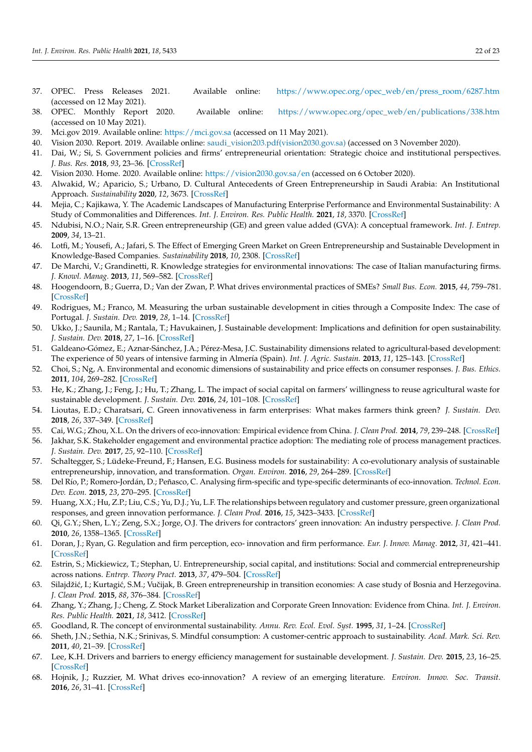- <span id="page-21-0"></span>37. OPEC. Press Releases 2021. Available online: [https://www.opec.org/opec\\_web/en/press\\_room/6287.htm](https://www.opec.org/opec_web/en/press_room/6287.htm) (accessed on 12 May 2021).
- <span id="page-21-1"></span>38. OPEC. Monthly Report 2020. Available online: [https://www.opec.org/opec\\_web/en/publications/338.htm](https://www.opec.org/opec_web/en/publications/338.htm) (accessed on 10 May 2021).
- <span id="page-21-2"></span>39. Mci.gov 2019. Available online: <https://mci.gov.sa> (accessed on 11 May 2021).
- <span id="page-21-3"></span>40. Vision 2030. Report. 2019. Available online: [saudi\\_vision203.pdf\(vision2030.gov.sa\)](saudi_vision203.pdf(vision2030.gov.sa)) (accessed on 3 November 2020).
- <span id="page-21-4"></span>41. Dai, W.; Si, S. Government policies and firms' entrepreneurial orientation: Strategic choice and institutional perspectives. *J. Bus. Res.* **2018**, *93*, 23–36. [\[CrossRef\]](http://doi.org/10.1016/j.jbusres.2018.08.026)
- <span id="page-21-5"></span>42. Vision 2030. Home. 2020. Available online: <https://vision2030.gov.sa/en> (accessed on 6 October 2020).
- <span id="page-21-6"></span>43. Alwakid, W.; Aparicio, S.; Urbano, D. Cultural Antecedents of Green Entrepreneurship in Saudi Arabia: An Institutional Approach. *Sustainability* **2020**, *12*, 3673. [\[CrossRef\]](http://doi.org/10.3390/su12093673)
- <span id="page-21-7"></span>44. Mejia, C.; Kajikawa, Y. The Academic Landscapes of Manufacturing Enterprise Performance and Environmental Sustainability: A Study of Commonalities and Differences. *Int. J. Environ. Res. Public Health.* **2021**, *18*, 3370. [\[CrossRef\]](http://doi.org/10.3390/ijerph18073370)
- <span id="page-21-8"></span>45. Ndubisi, N.O.; Nair, S.R. Green entrepreneurship (GE) and green value added (GVA): A conceptual framework. *Int. J. Entrep.* **2009**, *34*, 13–21.
- <span id="page-21-9"></span>46. Lotfi, M.; Yousefi, A.; Jafari, S. The Effect of Emerging Green Market on Green Entrepreneurship and Sustainable Development in Knowledge-Based Companies. *Sustainability* **2018**, *10*, 2308. [\[CrossRef\]](http://doi.org/10.3390/su10072308)
- <span id="page-21-10"></span>47. De Marchi, V.; Grandinetti, R. Knowledge strategies for environmental innovations: The case of Italian manufacturing firms. *J. Knowl. Manag.* **2013**, *11*, 569–582. [\[CrossRef\]](http://doi.org/10.1108/JKM-03-2013-0121)
- <span id="page-21-11"></span>48. Hoogendoorn, B.; Guerra, D.; Van der Zwan, P. What drives environmental practices of SMEs? *Small Bus. Econ.* **2015**, *44*, 759–781. [\[CrossRef\]](http://doi.org/10.1007/s11187-014-9618-9)
- <span id="page-21-12"></span>49. Rodrigues, M.; Franco, M. Measuring the urban sustainable development in cities through a Composite Index: The case of Portugal. *J. Sustain. Dev.* **2019**, *28*, 1–14. [\[CrossRef\]](http://doi.org/10.1002/sd.2005)
- <span id="page-21-13"></span>50. Ukko, J.; Saunila, M.; Rantala, T.; Havukainen, J. Sustainable development: Implications and definition for open sustainability. *J. Sustain. Dev.* **2018**, *27*, 1–16. [\[CrossRef\]](http://doi.org/10.1002/sd.1904)
- <span id="page-21-14"></span>51. Galdeano-Gómez, E.; Aznar-Sánchez, J.A.; Pérez-Mesa, J.C. Sustainability dimensions related to agricultural-based development: The experience of 50 years of intensive farming in Almería (Spain). *Int. J. Agric. Sustain.* **2013**, *11*, 125–143. [\[CrossRef\]](http://doi.org/10.1080/14735903.2012.704306)
- <span id="page-21-15"></span>52. Choi, S.; Ng, A. Environmental and economic dimensions of sustainability and price effects on consumer responses. *J. Bus. Ethics.* **2011**, *104*, 269–282. [\[CrossRef\]](http://doi.org/10.1007/s10551-011-0908-8)
- 53. He, K.; Zhang, J.; Feng, J.; Hu, T.; Zhang, L. The impact of social capital on farmers' willingness to reuse agricultural waste for sustainable development. *J. Sustain. Dev.* **2016**, *24*, 101–108. [\[CrossRef\]](http://doi.org/10.1002/sd.1611)
- <span id="page-21-16"></span>54. Lioutas, E.D.; Charatsari, C. Green innovativeness in farm enterprises: What makes farmers think green? *J. Sustain. Dev.* **2018**, *26*, 337–349. [\[CrossRef\]](http://doi.org/10.1002/sd.1709)
- <span id="page-21-17"></span>55. Cai, W.G.; Zhou, X.L. On the drivers of eco-innovation: Empirical evidence from China. *J. Clean Prod.* **2014**, *79*, 239–248. [\[CrossRef\]](http://doi.org/10.1016/j.jclepro.2014.05.035)
- <span id="page-21-18"></span>56. Jakhar, S.K. Stakeholder engagement and environmental practice adoption: The mediating role of process management practices. *J. Sustain. Dev.* **2017**, *25*, 92–110. [\[CrossRef\]](http://doi.org/10.1002/sd.1644)
- <span id="page-21-19"></span>57. Schaltegger, S.; Lüdeke-Freund, F.; Hansen, E.G. Business models for sustainability: A co-evolutionary analysis of sustainable entrepreneurship, innovation, and transformation. *Organ. Environ.* **2016**, *29*, 264–289. [\[CrossRef\]](http://doi.org/10.1177/1086026616633272)
- <span id="page-21-20"></span>58. Del Río, P.; Romero-Jordán, D.; Peñasco, C. Analysing firm-specific and type-specific determinants of eco-innovation. *Technol. Econ. Dev. Econ.* **2015**, *23*, 270–295. [\[CrossRef\]](http://doi.org/10.3846/20294913.2015.1072749)
- <span id="page-21-21"></span>59. Huang, X.X.; Hu, Z.P.; Liu, C.S.; Yu, D.J.; Yu, L.F. The relationships between regulatory and customer pressure, green organizational responses, and green innovation performance. *J. Clean Prod.* **2016**, *15*, 3423–3433. [\[CrossRef\]](http://doi.org/10.1016/j.jclepro.2015.10.106)
- <span id="page-21-22"></span>60. Qi, G.Y.; Shen, L.Y.; Zeng, S.X.; Jorge, O.J. The drivers for contractors' green innovation: An industry perspective. *J. Clean Prod.* **2010**, *26*, 1358–1365. [\[CrossRef\]](http://doi.org/10.1016/j.jclepro.2010.04.017)
- <span id="page-21-23"></span>61. Doran, J.; Ryan, G. Regulation and firm perception, eco- innovation and firm performance. *Eur. J. Innov. Manag.* **2012**, *31*, 421–441. [\[CrossRef\]](http://doi.org/10.1108/14601061211272367)
- <span id="page-21-24"></span>62. Estrin, S.; Mickiewicz, T.; Stephan, U. Entrepreneurship, social capital, and institutions: Social and commercial entrepreneurship across nations. *Entrep. Theory Pract.* **2013**, *37*, 479–504. [\[CrossRef\]](http://doi.org/10.1111/etap.12019)
- <span id="page-21-25"></span>63. Silajdžić, I.; Kurtagić, S.M.; Vučijak, B. Green entrepreneurship in transition economies: A case study of Bosnia and Herzegovina. *J. Clean Prod.* **2015**, *88*, 376–384. [\[CrossRef\]](http://doi.org/10.1016/j.jclepro.2014.07.004)
- <span id="page-21-26"></span>64. Zhang, Y.; Zhang, J.; Cheng, Z. Stock Market Liberalization and Corporate Green Innovation: Evidence from China. *Int. J. Environ. Res. Public Health.* **2021**, *18*, 3412. [\[CrossRef\]](http://doi.org/10.3390/ijerph18073412)
- <span id="page-21-27"></span>65. Goodland, R. The concept of environmental sustainability. *Annu. Rev. Ecol. Evol. Syst.* **1995**, *31*, 1–24. [\[CrossRef\]](http://doi.org/10.1146/annurev.es.26.110195.000245)
- <span id="page-21-28"></span>66. Sheth, J.N.; Sethia, N.K.; Srinivas, S. Mindful consumption: A customer-centric approach to sustainability. *Acad. Mark. Sci. Rev.* **2011**, *40*, 21–39. [\[CrossRef\]](http://doi.org/10.1007/s11747-010-0216-3)
- <span id="page-21-29"></span>67. Lee, K.H. Drivers and barriers to energy efficiency management for sustainable development. *J. Sustain. Dev.* **2015**, *23*, 16–25. [\[CrossRef\]](http://doi.org/10.1002/sd.1567)
- <span id="page-21-30"></span>68. Hojnik, J.; Ruzzier, M. What drives eco-innovation? A review of an emerging literature. *Environ. Innov. Soc. Transit.* **2016**, *26*, 31–41. [\[CrossRef\]](http://doi.org/10.1016/j.eist.2015.09.006)